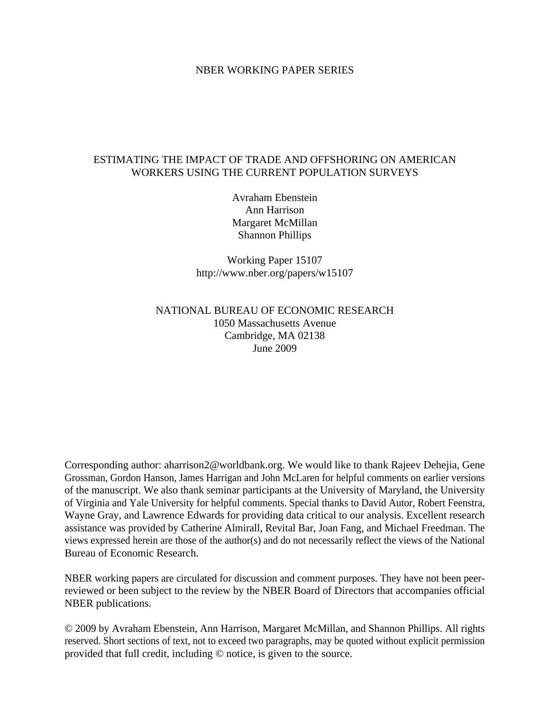### NBER WORKING PAPER SERIES

## ESTIMATING THE IMPACT OF TRADE AND OFFSHORING ON AMERICAN WORKERS USING THE CURRENT POPULATION SURVEYS

Avraham Ebenstein Ann Harrison Margaret McMillan Shannon Phillips

Working Paper 15107 http://www.nber.org/papers/w15107

## NATIONAL BUREAU OF ECONOMIC RESEARCH 1050 Massachusetts Avenue Cambridge, MA 02138 June 2009

Corresponding author: aharrison2@worldbank.org. We would like to thank Rajeev Dehejia, Gene Grossman, Gordon Hanson, James Harrigan and John McLaren for helpful comments on earlier versions of the manuscript. We also thank seminar participants at the University of Maryland, the University of Virginia and Yale University for helpful comments. Special thanks to David Autor, Robert Feenstra, Wayne Gray, and Lawrence Edwards for providing data critical to our analysis. Excellent research assistance was provided by Catherine Almirall, Revital Bar, Joan Fang, and Michael Freedman. The views expressed herein are those of the author(s) and do not necessarily reflect the views of the National Bureau of Economic Research.

NBER working papers are circulated for discussion and comment purposes. They have not been peerreviewed or been subject to the review by the NBER Board of Directors that accompanies official NBER publications.

© 2009 by Avraham Ebenstein, Ann Harrison, Margaret McMillan, and Shannon Phillips. All rights reserved. Short sections of text, not to exceed two paragraphs, may be quoted without explicit permission provided that full credit, including © notice, is given to the source.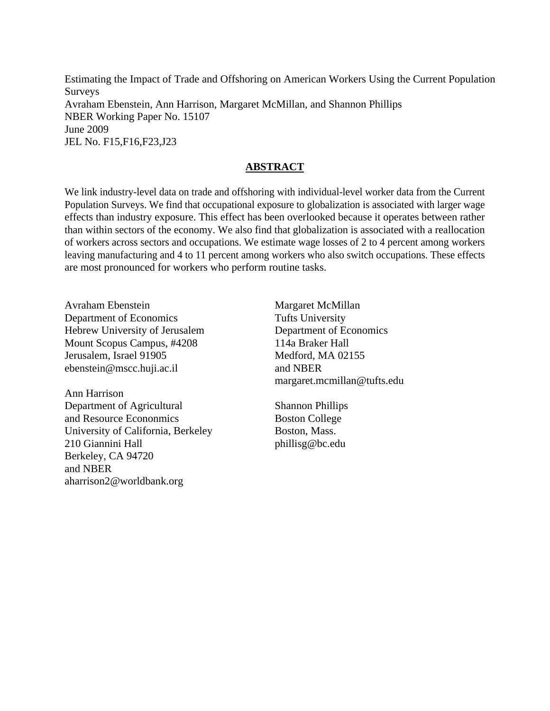Estimating the Impact of Trade and Offshoring on American Workers Using the Current Population Surveys Avraham Ebenstein, Ann Harrison, Margaret McMillan, and Shannon Phillips NBER Working Paper No. 15107 June 2009 JEL No. F15,F16,F23,J23

## **ABSTRACT**

We link industry-level data on trade and offshoring with individual-level worker data from the Current Population Surveys. We find that occupational exposure to globalization is associated with larger wage effects than industry exposure. This effect has been overlooked because it operates between rather than within sectors of the economy. We also find that globalization is associated with a reallocation of workers across sectors and occupations. We estimate wage losses of 2 to 4 percent among workers leaving manufacturing and 4 to 11 percent among workers who also switch occupations. These effects are most pronounced for workers who perform routine tasks.

Avraham Ebenstein Department of Economics Hebrew University of Jerusalem Mount Scopus Campus, #4208 Jerusalem, Israel 91905 ebenstein@mscc.huji.ac.il

Ann Harrison Department of Agricultural and Resource Econonmics University of California, Berkeley 210 Giannini Hall Berkeley, CA 94720 and NBER aharrison2@worldbank.org

Margaret McMillan Tufts University Department of Economics 114a Braker Hall Medford, MA 02155 and NBER margaret.mcmillan@tufts.edu

Shannon Phillips Boston College Boston, Mass. phillisg@bc.edu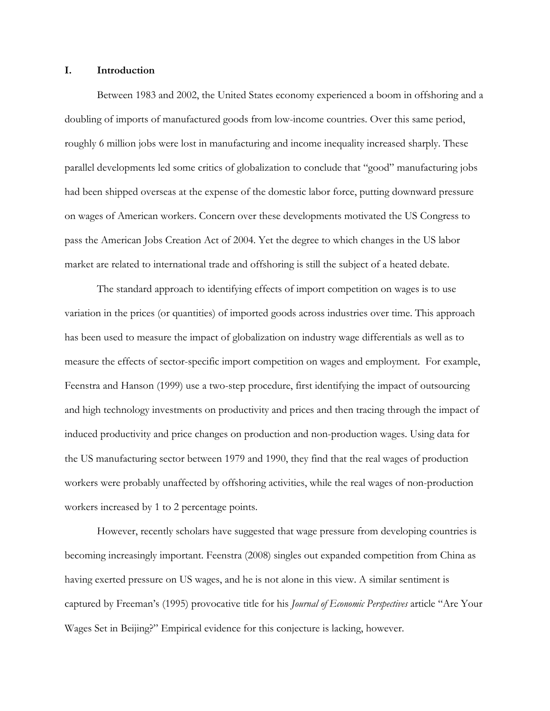### **I. Introduction**

Between 1983 and 2002, the United States economy experienced a boom in offshoring and a doubling of imports of manufactured goods from low-income countries. Over this same period, roughly 6 million jobs were lost in manufacturing and income inequality increased sharply. These parallel developments led some critics of globalization to conclude that "good" manufacturing jobs had been shipped overseas at the expense of the domestic labor force, putting downward pressure on wages of American workers. Concern over these developments motivated the US Congress to pass the American Jobs Creation Act of 2004. Yet the degree to which changes in the US labor market are related to international trade and offshoring is still the subject of a heated debate.

The standard approach to identifying effects of import competition on wages is to use variation in the prices (or quantities) of imported goods across industries over time. This approach has been used to measure the impact of globalization on industry wage differentials as well as to measure the effects of sector-specific import competition on wages and employment. For example, Feenstra and Hanson (1999) use a two-step procedure, first identifying the impact of outsourcing and high technology investments on productivity and prices and then tracing through the impact of induced productivity and price changes on production and non-production wages. Using data for the US manufacturing sector between 1979 and 1990, they find that the real wages of production workers were probably unaffected by offshoring activities, while the real wages of non-production workers increased by 1 to 2 percentage points.

However, recently scholars have suggested that wage pressure from developing countries is becoming increasingly important. Feenstra (2008) singles out expanded competition from China as having exerted pressure on US wages, and he is not alone in this view. A similar sentiment is captured by Freeman's (1995) provocative title for his *Journal of Economic Perspectives* article "Are Your Wages Set in Beijing?" Empirical evidence for this conjecture is lacking, however.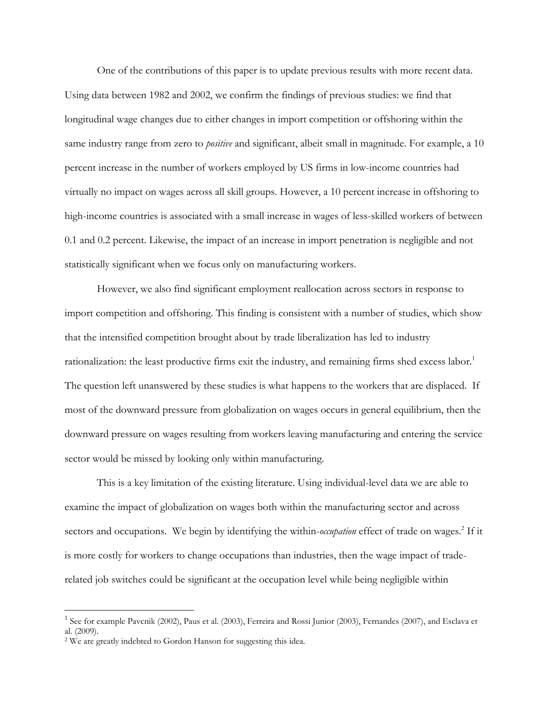One of the contributions of this paper is to update previous results with more recent data. Using data between 1982 and 2002, we confirm the findings of previous studies: we find that longitudinal wage changes due to either changes in import competition or offshoring within the same industry range from zero to *positive* and significant, albeit small in magnitude. For example, a 10 percent increase in the number of workers employed by US firms in low-income countries had virtually no impact on wages across all skill groups. However, a 10 percent increase in offshoring to high-income countries is associated with a small increase in wages of less-skilled workers of between 0.1 and 0.2 percent. Likewise, the impact of an increase in import penetration is negligible and not statistically significant when we focus only on manufacturing workers.

However, we also find significant employment reallocation across sectors in response to import competition and offshoring. This finding is consistent with a number of studies, which show that the intensified competition brought about by trade liberalization has led to industry rationalization: the least productive firms exit the industry, and remaining firms shed excess labor.<sup>1</sup> The question left unanswered by these studies is what happens to the workers that are displaced. If most of the downward pressure from globalization on wages occurs in general equilibrium, then the downward pressure on wages resulting from workers leaving manufacturing and entering the service sector would be missed by looking only within manufacturing.

This is a key limitation of the existing literature. Using individual-level data we are able to examine the impact of globalization on wages both within the manufacturing sector and across sectors and occupations. We begin by identifying the within-occupation effect of trade on wages.<sup>2</sup> If it is more costly for workers to change occupations than industries, then the wage impact of traderelated job switches could be significant at the occupation level while being negligible within

<sup>&</sup>lt;sup>1</sup> See for example Pavcnik (2002), Paus et al. (2003), Ferreira and Rossi Junior (2003), Fernandes (2007), and Esclava et al. (2009).

<sup>2</sup> We are greatly indebted to Gordon Hanson for suggesting this idea.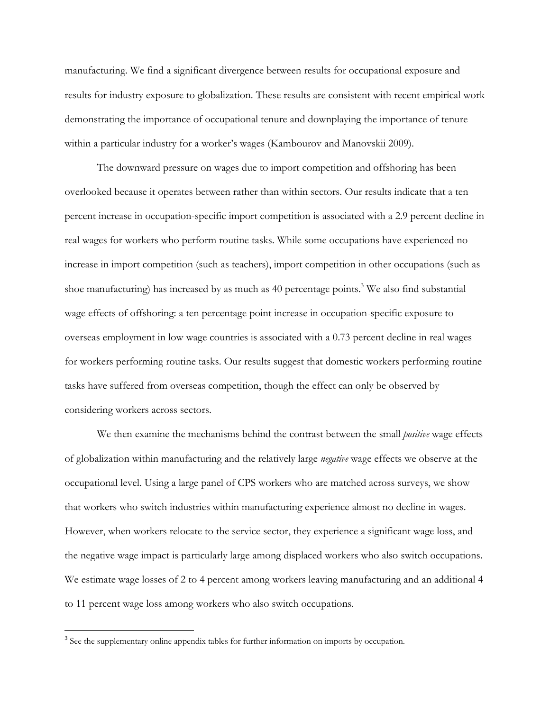manufacturing. We find a significant divergence between results for occupational exposure and results for industry exposure to globalization. These results are consistent with recent empirical work demonstrating the importance of occupational tenure and downplaying the importance of tenure within a particular industry for a worker's wages (Kambourov and Manovskii 2009).

The downward pressure on wages due to import competition and offshoring has been overlooked because it operates between rather than within sectors. Our results indicate that a ten percent increase in occupation-specific import competition is associated with a 2.9 percent decline in real wages for workers who perform routine tasks. While some occupations have experienced no increase in import competition (such as teachers), import competition in other occupations (such as shoe manufacturing) has increased by as much as 40 percentage points.<sup>3</sup> We also find substantial wage effects of offshoring: a ten percentage point increase in occupation-specific exposure to overseas employment in low wage countries is associated with a 0.73 percent decline in real wages for workers performing routine tasks. Our results suggest that domestic workers performing routine tasks have suffered from overseas competition, though the effect can only be observed by considering workers across sectors.

 We then examine the mechanisms behind the contrast between the small *positive* wage effects of globalization within manufacturing and the relatively large *negative* wage effects we observe at the occupational level. Using a large panel of CPS workers who are matched across surveys, we show that workers who switch industries within manufacturing experience almost no decline in wages. However, when workers relocate to the service sector, they experience a significant wage loss, and the negative wage impact is particularly large among displaced workers who also switch occupations. We estimate wage losses of 2 to 4 percent among workers leaving manufacturing and an additional 4 to 11 percent wage loss among workers who also switch occupations.

<sup>&</sup>lt;sup>3</sup> See the supplementary online appendix tables for further information on imports by occupation.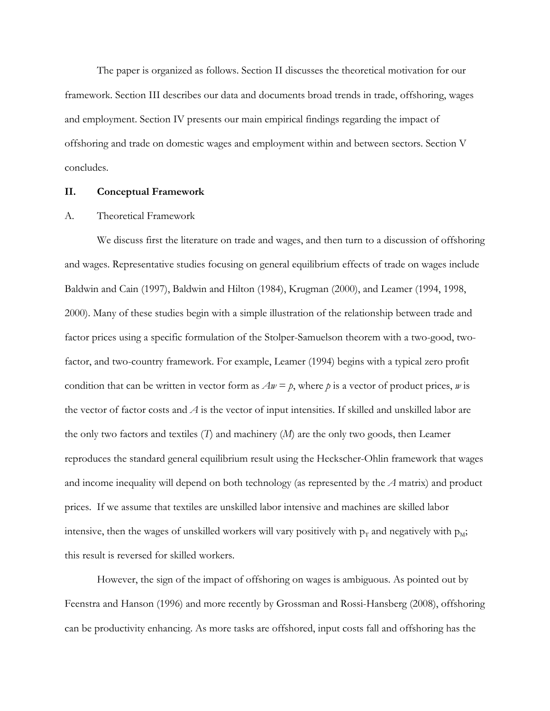The paper is organized as follows. Section II discusses the theoretical motivation for our framework. Section III describes our data and documents broad trends in trade, offshoring, wages and employment. Section IV presents our main empirical findings regarding the impact of offshoring and trade on domestic wages and employment within and between sectors. Section V concludes.

### **II. Conceptual Framework**

### A. Theoretical Framework

We discuss first the literature on trade and wages, and then turn to a discussion of offshoring and wages. Representative studies focusing on general equilibrium effects of trade on wages include Baldwin and Cain (1997), Baldwin and Hilton (1984), Krugman (2000), and Leamer (1994, 1998, 2000). Many of these studies begin with a simple illustration of the relationship between trade and factor prices using a specific formulation of the Stolper-Samuelson theorem with a two-good, twofactor, and two-country framework. For example, Leamer (1994) begins with a typical zero profit condition that can be written in vector form as  $Aw = p$ , where p is a vector of product prices, w is the vector of factor costs and *A* is the vector of input intensities. If skilled and unskilled labor are the only two factors and textiles (*T*) and machinery (*M*) are the only two goods, then Leamer reproduces the standard general equilibrium result using the Heckscher-Ohlin framework that wages and income inequality will depend on both technology (as represented by the *A* matrix) and product prices. If we assume that textiles are unskilled labor intensive and machines are skilled labor intensive, then the wages of unskilled workers will vary positively with  $p_T$  and negatively with  $p_M$ ; this result is reversed for skilled workers.

However, the sign of the impact of offshoring on wages is ambiguous. As pointed out by Feenstra and Hanson (1996) and more recently by Grossman and Rossi-Hansberg (2008), offshoring can be productivity enhancing. As more tasks are offshored, input costs fall and offshoring has the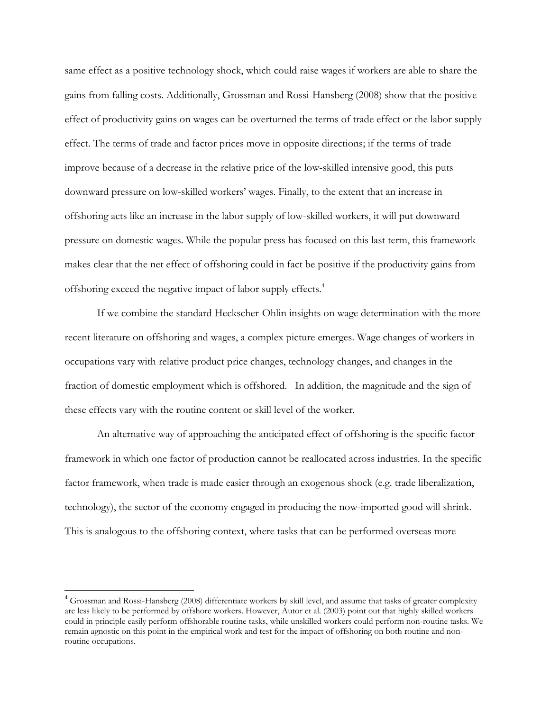same effect as a positive technology shock, which could raise wages if workers are able to share the gains from falling costs. Additionally, Grossman and Rossi-Hansberg (2008) show that the positive effect of productivity gains on wages can be overturned the terms of trade effect or the labor supply effect. The terms of trade and factor prices move in opposite directions; if the terms of trade improve because of a decrease in the relative price of the low-skilled intensive good, this puts downward pressure on low-skilled workers' wages. Finally, to the extent that an increase in offshoring acts like an increase in the labor supply of low-skilled workers, it will put downward pressure on domestic wages. While the popular press has focused on this last term, this framework makes clear that the net effect of offshoring could in fact be positive if the productivity gains from offshoring exceed the negative impact of labor supply effects.<sup>4</sup>

 If we combine the standard Heckscher-Ohlin insights on wage determination with the more recent literature on offshoring and wages, a complex picture emerges. Wage changes of workers in occupations vary with relative product price changes, technology changes, and changes in the fraction of domestic employment which is offshored. In addition, the magnitude and the sign of these effects vary with the routine content or skill level of the worker.

An alternative way of approaching the anticipated effect of offshoring is the specific factor framework in which one factor of production cannot be reallocated across industries. In the specific factor framework, when trade is made easier through an exogenous shock (e.g. trade liberalization, technology), the sector of the economy engaged in producing the now-imported good will shrink. This is analogous to the offshoring context, where tasks that can be performed overseas more

<u>.</u>

<sup>4</sup> Grossman and Rossi-Hansberg (2008) differentiate workers by skill level, and assume that tasks of greater complexity are less likely to be performed by offshore workers. However, Autor et al. (2003) point out that highly skilled workers could in principle easily perform offshorable routine tasks, while unskilled workers could perform non-routine tasks. We remain agnostic on this point in the empirical work and test for the impact of offshoring on both routine and nonroutine occupations.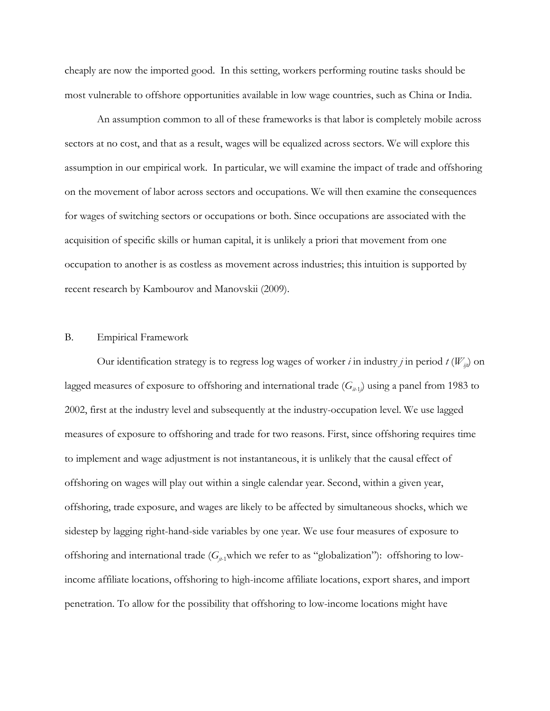cheaply are now the imported good. In this setting, workers performing routine tasks should be most vulnerable to offshore opportunities available in low wage countries, such as China or India.

An assumption common to all of these frameworks is that labor is completely mobile across sectors at no cost, and that as a result, wages will be equalized across sectors. We will explore this assumption in our empirical work. In particular, we will examine the impact of trade and offshoring on the movement of labor across sectors and occupations. We will then examine the consequences for wages of switching sectors or occupations or both. Since occupations are associated with the acquisition of specific skills or human capital, it is unlikely a priori that movement from one occupation to another is as costless as movement across industries; this intuition is supported by recent research by Kambourov and Manovskii (2009).

### B. Empirical Framework

Our identification strategy is to regress log wages of worker *i* in industry *j* in period  $t(W_{ii})$  on lagged measures of exposure to offshoring and international trade  $(G_{i+1})$  using a panel from 1983 to 2002, first at the industry level and subsequently at the industry-occupation level. We use lagged measures of exposure to offshoring and trade for two reasons. First, since offshoring requires time to implement and wage adjustment is not instantaneous, it is unlikely that the causal effect of offshoring on wages will play out within a single calendar year. Second, within a given year, offshoring, trade exposure, and wages are likely to be affected by simultaneous shocks, which we sidestep by lagging right-hand-side variables by one year*.* We use four measures of exposure to offshoring and international trade ( $G_{j+1}$ which we refer to as "globalization"): offshoring to lowincome affiliate locations, offshoring to high-income affiliate locations, export shares, and import penetration. To allow for the possibility that offshoring to low-income locations might have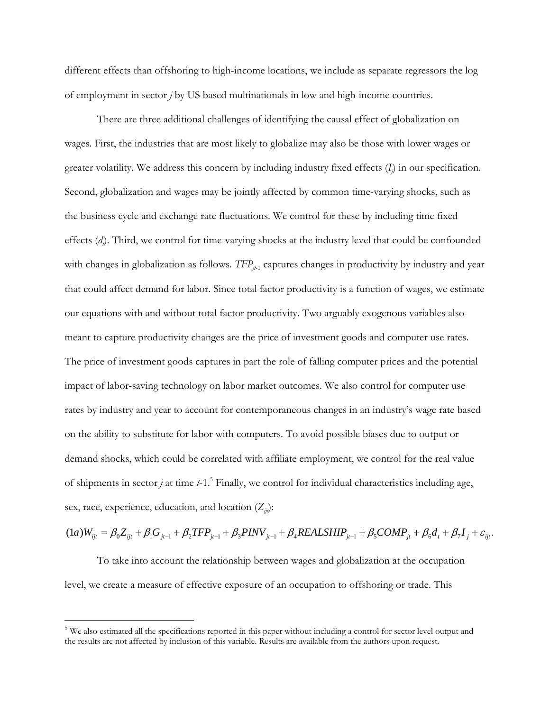different effects than offshoring to high-income locations, we include as separate regressors the log of employment in sector *j* by US based multinationals in low and high-income countries.

There are three additional challenges of identifying the causal effect of globalization on wages. First, the industries that are most likely to globalize may also be those with lower wages or greater volatility. We address this concern by including industry fixed effects (*Ij* ) in our specification. Second, globalization and wages may be jointly affected by common time-varying shocks, such as the business cycle and exchange rate fluctuations. We control for these by including time fixed effects (d<sub>i</sub>). Third, we control for time-varying shocks at the industry level that could be confounded with changes in globalization as follows.  $TFP_{\mu_1}$  captures changes in productivity by industry and year that could affect demand for labor. Since total factor productivity is a function of wages, we estimate our equations with and without total factor productivity. Two arguably exogenous variables also meant to capture productivity changes are the price of investment goods and computer use rates. The price of investment goods captures in part the role of falling computer prices and the potential impact of labor-saving technology on labor market outcomes. We also control for computer use rates by industry and year to account for contemporaneous changes in an industry's wage rate based on the ability to substitute for labor with computers. To avoid possible biases due to output or demand shocks, which could be correlated with affiliate employment, we control for the real value of shipments in sector  $j$  at time  $t$ -1.<sup>5</sup> Finally, we control for individual characteristics including age, sex, race, experience, education, and location  $(Z_{ii})$ :

 $(1a)W_{ijt} = \beta_0 Z_{ijt} + \beta_1 G_{jt-1} + \beta_2 TFP_{jt-1} + \beta_3 PINV_{jt-1} + \beta_4 REALSHIP_{jt-1} + \beta_5 COMP_{jt} + \beta_6 d_t + \beta_7 I_j + \varepsilon_{ijt}$ 

To take into account the relationship between wages and globalization at the occupation level, we create a measure of effective exposure of an occupation to offshoring or trade. This

<sup>&</sup>lt;sup>5</sup> We also estimated all the specifications reported in this paper without including a control for sector level output and the results are not affected by inclusion of this variable. Results are available from the authors upon request.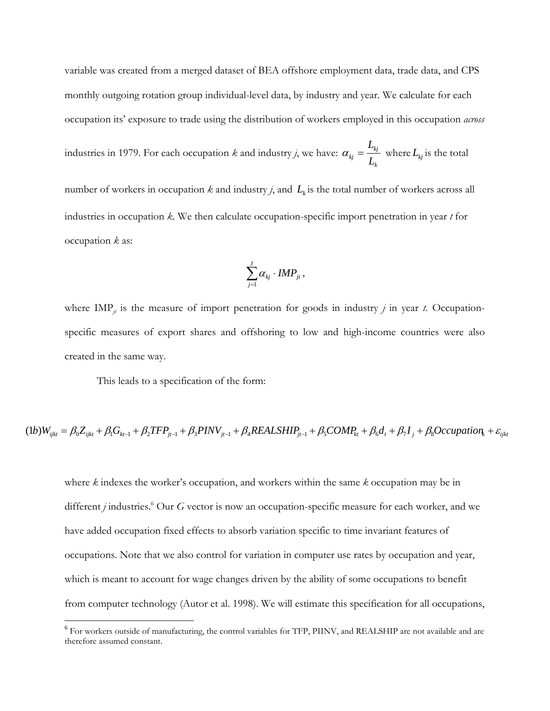variable was created from a merged dataset of BEA offshore employment data, trade data, and CPS monthly outgoing rotation group individual-level data, by industry and year. We calculate for each occupation its' exposure to trade using the distribution of workers employed in this occupation *across*

industries in 1979. For each occupation *k* and industry *j*, we have: *k kj*  $\frac{k_j}{L}$   $\frac{-}{L}$ *L*  $\alpha_{kj} = \frac{E_{kj}}{I}$  where  $L_{kj}$  is the total

number of workers in occupation  $k$  and industry  $j$ , and  $L_k$  is the total number of workers across all industries in occupation *k.* We then calculate occupation-specific import penetration in year *t* for occupation *k* as:

$$
\sum_{j=1}^J \alpha_{kj} \cdot \textit{IMP}_{jt},
$$

where  $\text{IMP}_{jt}$  is the measure of import penetration for goods in industry *j* in year *t*. Occupationspecific measures of export shares and offshoring to low and high-income countries were also created in the same way.

This leads to a specification of the form:

 $\overline{a}$ 

$$
(1b)W_{ijkl} = \beta_0 Z_{ijkl} + \beta_1 G_{ki-1} + \beta_2 TFP_{jl-1} + \beta_3 PINV_{jl-1} + \beta_4 REALSHIP_{jl-1} + \beta_5 COMP_{kt} + \beta_6 d_t + \beta_7 I_j + \beta_8 Occupation_k + \varepsilon_{ijkl}
$$

where *k* indexes the worker's occupation, and workers within the same *k* occupation may be in different *j* industries.<sup>6</sup> Our *G* vector is now an occupation-specific measure for each worker, and we have added occupation fixed effects to absorb variation specific to time invariant features of occupations. Note that we also control for variation in computer use rates by occupation and year, which is meant to account for wage changes driven by the ability of some occupations to benefit from computer technology (Autor et al. 1998). We will estimate this specification for all occupations,

<sup>&</sup>lt;sup>6</sup> For workers outside of manufacturing, the control variables for TFP, PIINV, and REALSHIP are not available and are therefore assumed constant.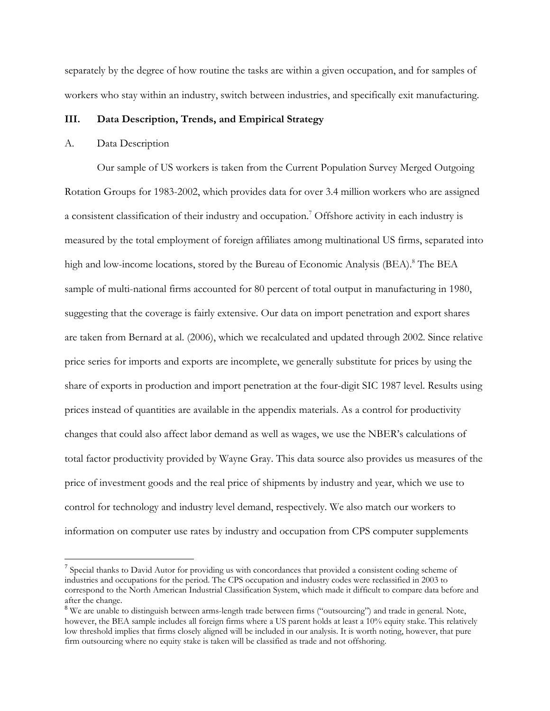separately by the degree of how routine the tasks are within a given occupation, and for samples of workers who stay within an industry, switch between industries, and specifically exit manufacturing.

### **III. Data Description, Trends, and Empirical Strategy**

### A. Data Description

 $\overline{a}$ 

Our sample of US workers is taken from the Current Population Survey Merged Outgoing Rotation Groups for 1983-2002, which provides data for over 3.4 million workers who are assigned a consistent classification of their industry and occupation.<sup>7</sup> Offshore activity in each industry is measured by the total employment of foreign affiliates among multinational US firms, separated into high and low-income locations, stored by the Bureau of Economic Analysis (BEA).<sup>8</sup> The BEA sample of multi-national firms accounted for 80 percent of total output in manufacturing in 1980, suggesting that the coverage is fairly extensive. Our data on import penetration and export shares are taken from Bernard at al. (2006), which we recalculated and updated through 2002. Since relative price series for imports and exports are incomplete, we generally substitute for prices by using the share of exports in production and import penetration at the four-digit SIC 1987 level. Results using prices instead of quantities are available in the appendix materials. As a control for productivity changes that could also affect labor demand as well as wages, we use the NBER's calculations of total factor productivity provided by Wayne Gray. This data source also provides us measures of the price of investment goods and the real price of shipments by industry and year, which we use to control for technology and industry level demand, respectively. We also match our workers to information on computer use rates by industry and occupation from CPS computer supplements

<sup>&</sup>lt;sup>7</sup> Special thanks to David Autor for providing us with concordances that provided a consistent coding scheme of industries and occupations for the period. The CPS occupation and industry codes were reclassified in 2003 to correspond to the North American Industrial Classification System, which made it difficult to compare data before and after the change.

<sup>&</sup>lt;sup>8</sup> We are unable to distinguish between arms-length trade between firms ("outsourcing") and trade in general. Note, however, the BEA sample includes all foreign firms where a US parent holds at least a 10% equity stake. This relatively low threshold implies that firms closely aligned will be included in our analysis. It is worth noting, however, that pure firm outsourcing where no equity stake is taken will be classified as trade and not offshoring.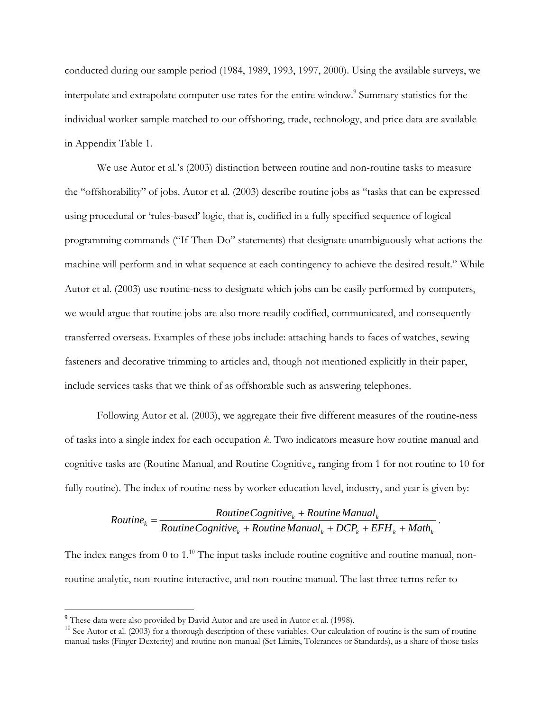conducted during our sample period (1984, 1989, 1993, 1997, 2000). Using the available surveys, we interpolate and extrapolate computer use rates for the entire window.<sup>9</sup> Summary statistics for the individual worker sample matched to our offshoring, trade, technology, and price data are available in Appendix Table 1.

 We use Autor et al.'s (2003) distinction between routine and non-routine tasks to measure the "offshorability" of jobs. Autor et al. (2003) describe routine jobs as "tasks that can be expressed using procedural or 'rules-based' logic, that is, codified in a fully specified sequence of logical programming commands ("If-Then-Do" statements) that designate unambiguously what actions the machine will perform and in what sequence at each contingency to achieve the desired result." While Autor et al. (2003) use routine-ness to designate which jobs can be easily performed by computers, we would argue that routine jobs are also more readily codified, communicated, and consequently transferred overseas. Examples of these jobs include: attaching hands to faces of watches, sewing fasteners and decorative trimming to articles and, though not mentioned explicitly in their paper, include services tasks that we think of as offshorable such as answering telephones.

Following Autor et al. (2003), we aggregate their five different measures of the routine-ness of tasks into a single index for each occupation *k*. Two indicators measure how routine manual and cognitive tasks are (Routine Manual<sub>i</sub> and Routine Cognitive<sub>i</sub>, ranging from 1 for not routine to 10 for fully routine). The index of routine-ness by worker education level, industry, and year is given by:

$$
Routine_k = \frac{Routine Cognitive_k + Routine Manual_k}{Routine Cognitive_k + Routine Manual_k + DCP_k + EFH_k + Math_k}.
$$

The index ranges from  $0$  to  $1<sup>10</sup>$  The input tasks include routine cognitive and routine manual, nonroutine analytic, non-routine interactive, and non-routine manual. The last three terms refer to

<sup>&</sup>lt;sup>9</sup> These data were also provided by David Autor and are used in Autor et al. (1998). <sup>10</sup> See Autor et al. (2003) for a thorough description of these variables. Our calculation of routine is the sum of routine manual tasks (Finger Dexterity) and routine non-manual (Set Limits, Tolerances or Standards), as a share of those tasks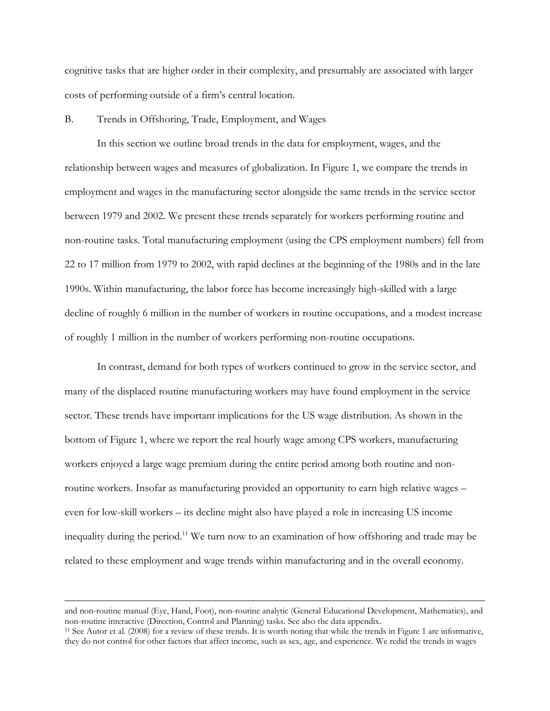cognitive tasks that are higher order in their complexity, and presumably are associated with larger costs of performing outside of a firm's central location.

### B. Trends in Offshoring, Trade, Employment, and Wages

 In this section we outline broad trends in the data for employment, wages, and the relationship between wages and measures of globalization. In Figure 1, we compare the trends in employment and wages in the manufacturing sector alongside the same trends in the service sector between 1979 and 2002. We present these trends separately for workers performing routine and non-routine tasks. Total manufacturing employment (using the CPS employment numbers) fell from 22 to 17 million from 1979 to 2002, with rapid declines at the beginning of the 1980s and in the late 1990s. Within manufacturing, the labor force has become increasingly high-skilled with a large decline of roughly 6 million in the number of workers in routine occupations, and a modest increase of roughly 1 million in the number of workers performing non-routine occupations.

 In contrast, demand for both types of workers continued to grow in the service sector, and many of the displaced routine manufacturing workers may have found employment in the service sector. These trends have important implications for the US wage distribution. As shown in the bottom of Figure 1, where we report the real hourly wage among CPS workers, manufacturing workers enjoyed a large wage premium during the entire period among both routine and nonroutine workers. Insofar as manufacturing provided an opportunity to earn high relative wages – even for low-skill workers – its decline might also have played a role in increasing US income inequality during the period.<sup>11</sup> We turn now to an examination of how offshoring and trade may be related to these employment and wage trends within manufacturing and in the overall economy.

and non-routine manual (Eye, Hand, Foot), non-routine analytic (General Educational Development, Mathematics), and non-routine interactive (Direction, Control and Planning) tasks. See also the data appendix.

<sup>&</sup>lt;sup>11</sup> See Autor et al. (2008) for a review of these trends. It is worth noting that while the trends in Figure 1 are informative, they do not control for other factors that affect income, such as sex, age, and experience. We redid the trends in wages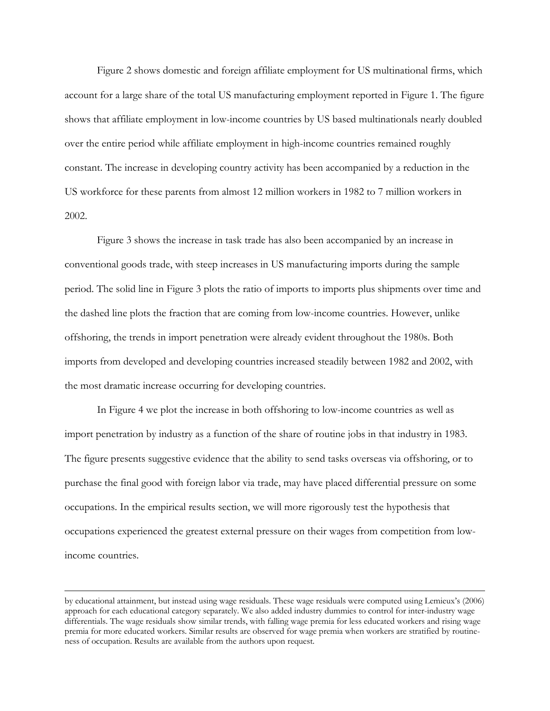Figure 2 shows domestic and foreign affiliate employment for US multinational firms, which account for a large share of the total US manufacturing employment reported in Figure 1. The figure shows that affiliate employment in low-income countries by US based multinationals nearly doubled over the entire period while affiliate employment in high-income countries remained roughly constant. The increase in developing country activity has been accompanied by a reduction in the US workforce for these parents from almost 12 million workers in 1982 to 7 million workers in 2002.

Figure 3 shows the increase in task trade has also been accompanied by an increase in conventional goods trade, with steep increases in US manufacturing imports during the sample period. The solid line in Figure 3 plots the ratio of imports to imports plus shipments over time and the dashed line plots the fraction that are coming from low-income countries. However, unlike offshoring, the trends in import penetration were already evident throughout the 1980s. Both imports from developed and developing countries increased steadily between 1982 and 2002, with the most dramatic increase occurring for developing countries.

 In Figure 4 we plot the increase in both offshoring to low-income countries as well as import penetration by industry as a function of the share of routine jobs in that industry in 1983. The figure presents suggestive evidence that the ability to send tasks overseas via offshoring, or to purchase the final good with foreign labor via trade, may have placed differential pressure on some occupations. In the empirical results section, we will more rigorously test the hypothesis that occupations experienced the greatest external pressure on their wages from competition from lowincome countries.

by educational attainment, but instead using wage residuals. These wage residuals were computed using Lemieux's (2006) approach for each educational category separately. We also added industry dummies to control for inter-industry wage differentials. The wage residuals show similar trends, with falling wage premia for less educated workers and rising wage premia for more educated workers. Similar results are observed for wage premia when workers are stratified by routineness of occupation. Results are available from the authors upon request.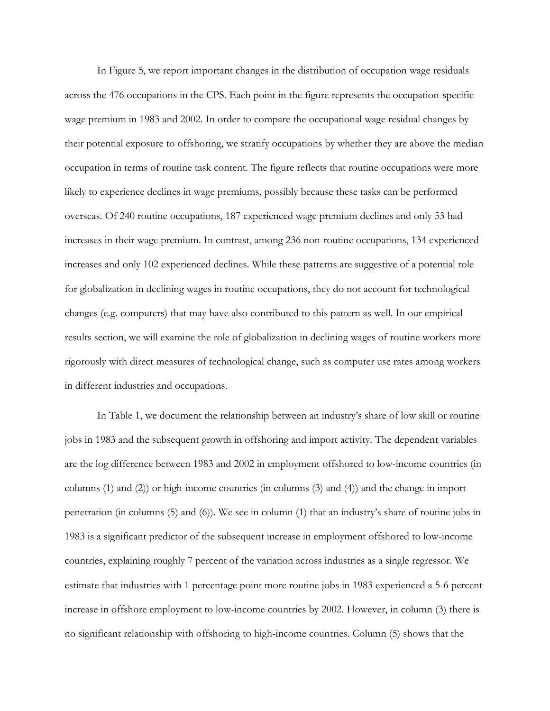In Figure 5, we report important changes in the distribution of occupation wage residuals across the 476 occupations in the CPS. Each point in the figure represents the occupation-specific wage premium in 1983 and 2002. In order to compare the occupational wage residual changes by their potential exposure to offshoring, we stratify occupations by whether they are above the median occupation in terms of routine task content. The figure reflects that routine occupations were more likely to experience declines in wage premiums, possibly because these tasks can be performed overseas. Of 240 routine occupations, 187 experienced wage premium declines and only 53 had increases in their wage premium. In contrast, among 236 non-routine occupations, 134 experienced increases and only 102 experienced declines. While these patterns are suggestive of a potential role for globalization in declining wages in routine occupations, they do not account for technological changes (e.g. computers) that may have also contributed to this pattern as well. In our empirical results section, we will examine the role of globalization in declining wages of routine workers more rigorously with direct measures of technological change, such as computer use rates among workers in different industries and occupations.

 In Table 1, we document the relationship between an industry's share of low skill or routine jobs in 1983 and the subsequent growth in offshoring and import activity. The dependent variables are the log difference between 1983 and 2002 in employment offshored to low-income countries (in columns (1) and (2)) or high-income countries (in columns (3) and (4)) and the change in import penetration (in columns (5) and (6)). We see in column (1) that an industry's share of routine jobs in 1983 is a significant predictor of the subsequent increase in employment offshored to low-income countries, explaining roughly 7 percent of the variation across industries as a single regressor. We estimate that industries with 1 percentage point more routine jobs in 1983 experienced a 5-6 percent increase in offshore employment to low-income countries by 2002. However, in column (3) there is no significant relationship with offshoring to high-income countries. Column (5) shows that the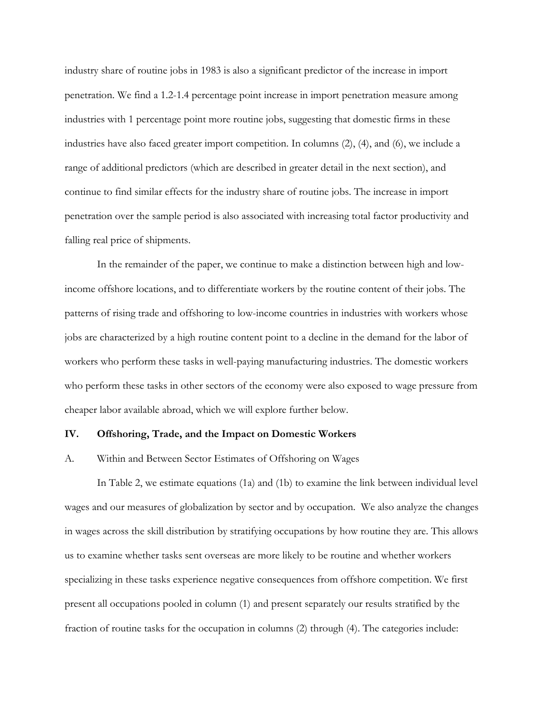industry share of routine jobs in 1983 is also a significant predictor of the increase in import penetration. We find a 1.2-1.4 percentage point increase in import penetration measure among industries with 1 percentage point more routine jobs, suggesting that domestic firms in these industries have also faced greater import competition. In columns (2), (4), and (6), we include a range of additional predictors (which are described in greater detail in the next section), and continue to find similar effects for the industry share of routine jobs. The increase in import penetration over the sample period is also associated with increasing total factor productivity and falling real price of shipments.

In the remainder of the paper, we continue to make a distinction between high and lowincome offshore locations, and to differentiate workers by the routine content of their jobs. The patterns of rising trade and offshoring to low-income countries in industries with workers whose jobs are characterized by a high routine content point to a decline in the demand for the labor of workers who perform these tasks in well-paying manufacturing industries. The domestic workers who perform these tasks in other sectors of the economy were also exposed to wage pressure from cheaper labor available abroad, which we will explore further below.

### **IV. Offshoring, Trade, and the Impact on Domestic Workers**

### A. Within and Between Sector Estimates of Offshoring on Wages

In Table 2, we estimate equations (1a) and (1b) to examine the link between individual level wages and our measures of globalization by sector and by occupation. We also analyze the changes in wages across the skill distribution by stratifying occupations by how routine they are. This allows us to examine whether tasks sent overseas are more likely to be routine and whether workers specializing in these tasks experience negative consequences from offshore competition. We first present all occupations pooled in column (1) and present separately our results stratified by the fraction of routine tasks for the occupation in columns (2) through (4). The categories include: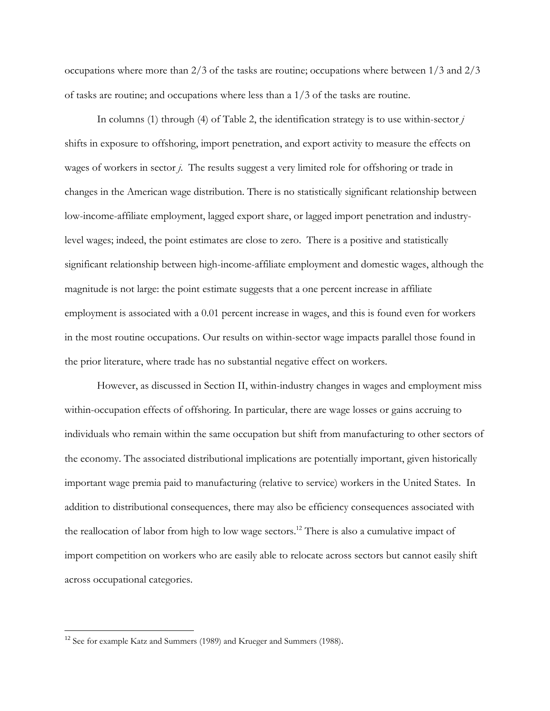occupations where more than 2/3 of the tasks are routine; occupations where between 1/3 and 2/3 of tasks are routine; and occupations where less than a 1/3 of the tasks are routine.

In columns (1) through (4) of Table 2, the identification strategy is to use within-sector *j* shifts in exposure to offshoring, import penetration, and export activity to measure the effects on wages of workers in sector *j*. The results suggest a very limited role for offshoring or trade in changes in the American wage distribution. There is no statistically significant relationship between low-income-affiliate employment, lagged export share, or lagged import penetration and industrylevel wages; indeed, the point estimates are close to zero. There is a positive and statistically significant relationship between high-income-affiliate employment and domestic wages, although the magnitude is not large: the point estimate suggests that a one percent increase in affiliate employment is associated with a 0.01 percent increase in wages, and this is found even for workers in the most routine occupations. Our results on within-sector wage impacts parallel those found in the prior literature, where trade has no substantial negative effect on workers.

However, as discussed in Section II, within-industry changes in wages and employment miss within-occupation effects of offshoring. In particular, there are wage losses or gains accruing to individuals who remain within the same occupation but shift from manufacturing to other sectors of the economy. The associated distributional implications are potentially important, given historically important wage premia paid to manufacturing (relative to service) workers in the United States. In addition to distributional consequences, there may also be efficiency consequences associated with the reallocation of labor from high to low wage sectors.<sup>12</sup> There is also a cumulative impact of import competition on workers who are easily able to relocate across sectors but cannot easily shift across occupational categories.

<sup>&</sup>lt;sup>12</sup> See for example Katz and Summers (1989) and Krueger and Summers (1988).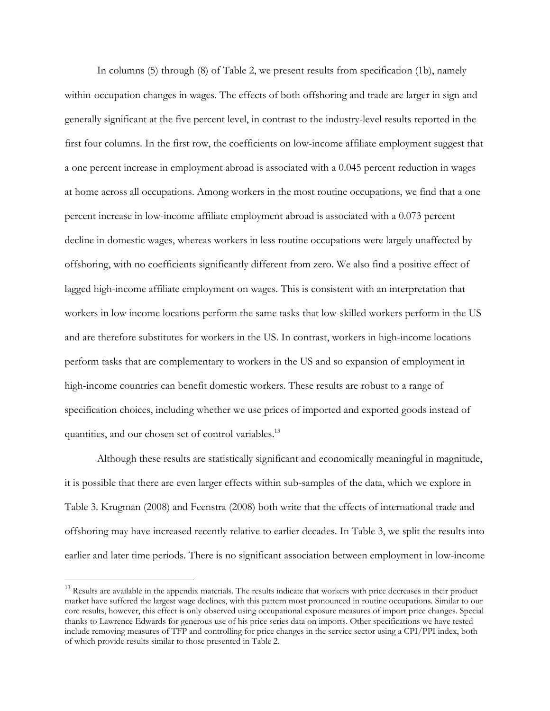In columns (5) through (8) of Table 2, we present results from specification (1b), namely within-occupation changes in wages. The effects of both offshoring and trade are larger in sign and generally significant at the five percent level, in contrast to the industry-level results reported in the first four columns. In the first row, the coefficients on low-income affiliate employment suggest that a one percent increase in employment abroad is associated with a 0.045 percent reduction in wages at home across all occupations. Among workers in the most routine occupations, we find that a one percent increase in low-income affiliate employment abroad is associated with a 0.073 percent decline in domestic wages, whereas workers in less routine occupations were largely unaffected by offshoring, with no coefficients significantly different from zero. We also find a positive effect of lagged high-income affiliate employment on wages. This is consistent with an interpretation that workers in low income locations perform the same tasks that low-skilled workers perform in the US and are therefore substitutes for workers in the US. In contrast, workers in high-income locations perform tasks that are complementary to workers in the US and so expansion of employment in high-income countries can benefit domestic workers. These results are robust to a range of specification choices, including whether we use prices of imported and exported goods instead of quantities, and our chosen set of control variables.<sup>13</sup>

Although these results are statistically significant and economically meaningful in magnitude, it is possible that there are even larger effects within sub-samples of the data, which we explore in Table 3. Krugman (2008) and Feenstra (2008) both write that the effects of international trade and offshoring may have increased recently relative to earlier decades. In Table 3, we split the results into earlier and later time periods. There is no significant association between employment in low-income

<sup>&</sup>lt;sup>13</sup> Results are available in the appendix materials. The results indicate that workers with price decreases in their product market have suffered the largest wage declines, with this pattern most pronounced in routine occupations. Similar to our core results, however, this effect is only observed using occupational exposure measures of import price changes. Special thanks to Lawrence Edwards for generous use of his price series data on imports. Other specifications we have tested include removing measures of TFP and controlling for price changes in the service sector using a CPI/PPI index, both of which provide results similar to those presented in Table 2.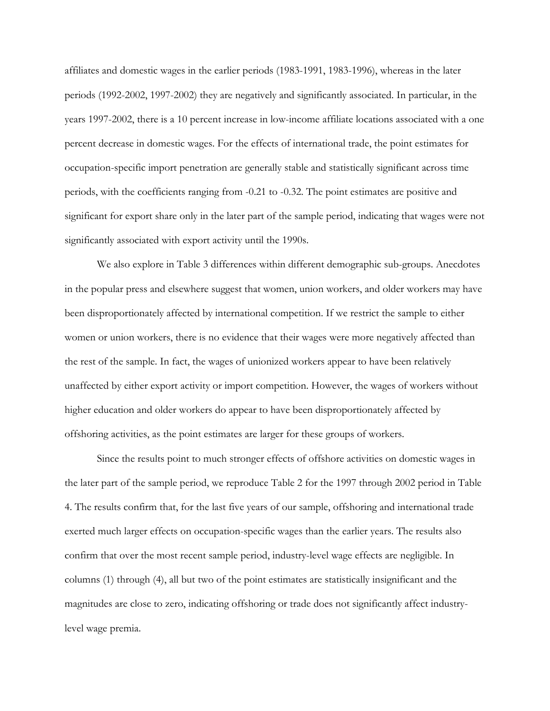affiliates and domestic wages in the earlier periods (1983-1991, 1983-1996), whereas in the later periods (1992-2002, 1997-2002) they are negatively and significantly associated. In particular, in the years 1997-2002, there is a 10 percent increase in low-income affiliate locations associated with a one percent decrease in domestic wages. For the effects of international trade, the point estimates for occupation-specific import penetration are generally stable and statistically significant across time periods, with the coefficients ranging from -0.21 to -0.32. The point estimates are positive and significant for export share only in the later part of the sample period, indicating that wages were not significantly associated with export activity until the 1990s.

 We also explore in Table 3 differences within different demographic sub-groups. Anecdotes in the popular press and elsewhere suggest that women, union workers, and older workers may have been disproportionately affected by international competition. If we restrict the sample to either women or union workers, there is no evidence that their wages were more negatively affected than the rest of the sample. In fact, the wages of unionized workers appear to have been relatively unaffected by either export activity or import competition. However, the wages of workers without higher education and older workers do appear to have been disproportionately affected by offshoring activities, as the point estimates are larger for these groups of workers.

 Since the results point to much stronger effects of offshore activities on domestic wages in the later part of the sample period, we reproduce Table 2 for the 1997 through 2002 period in Table 4. The results confirm that, for the last five years of our sample, offshoring and international trade exerted much larger effects on occupation-specific wages than the earlier years. The results also confirm that over the most recent sample period, industry-level wage effects are negligible. In columns (1) through (4), all but two of the point estimates are statistically insignificant and the magnitudes are close to zero, indicating offshoring or trade does not significantly affect industrylevel wage premia.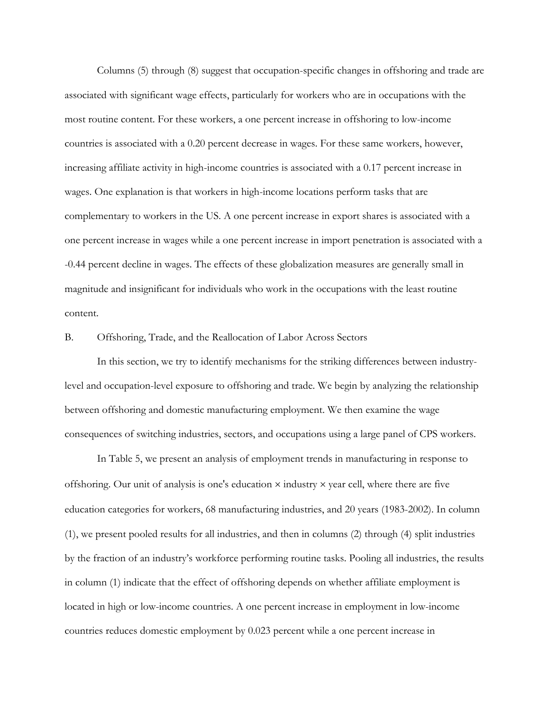Columns (5) through (8) suggest that occupation-specific changes in offshoring and trade are associated with significant wage effects, particularly for workers who are in occupations with the most routine content. For these workers, a one percent increase in offshoring to low-income countries is associated with a 0.20 percent decrease in wages. For these same workers, however, increasing affiliate activity in high-income countries is associated with a 0.17 percent increase in wages. One explanation is that workers in high-income locations perform tasks that are complementary to workers in the US. A one percent increase in export shares is associated with a one percent increase in wages while a one percent increase in import penetration is associated with a -0.44 percent decline in wages. The effects of these globalization measures are generally small in magnitude and insignificant for individuals who work in the occupations with the least routine content.

B. Offshoring, Trade, and the Reallocation of Labor Across Sectors

In this section, we try to identify mechanisms for the striking differences between industrylevel and occupation-level exposure to offshoring and trade. We begin by analyzing the relationship between offshoring and domestic manufacturing employment. We then examine the wage consequences of switching industries, sectors, and occupations using a large panel of CPS workers.

In Table 5, we present an analysis of employment trends in manufacturing in response to offshoring. Our unit of analysis is one's education  $\times$  industry  $\times$  year cell, where there are five education categories for workers, 68 manufacturing industries, and 20 years (1983-2002). In column (1), we present pooled results for all industries, and then in columns (2) through (4) split industries by the fraction of an industry's workforce performing routine tasks. Pooling all industries, the results in column (1) indicate that the effect of offshoring depends on whether affiliate employment is located in high or low-income countries. A one percent increase in employment in low-income countries reduces domestic employment by 0.023 percent while a one percent increase in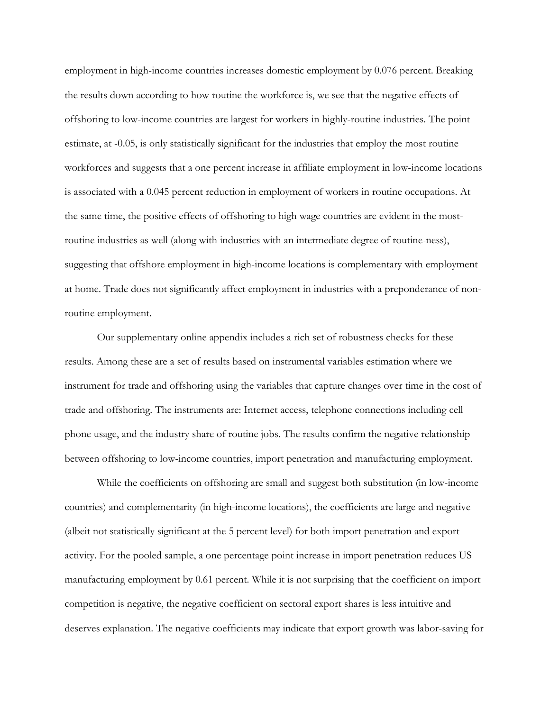employment in high-income countries increases domestic employment by 0.076 percent. Breaking the results down according to how routine the workforce is, we see that the negative effects of offshoring to low-income countries are largest for workers in highly-routine industries. The point estimate, at -0.05, is only statistically significant for the industries that employ the most routine workforces and suggests that a one percent increase in affiliate employment in low-income locations is associated with a 0.045 percent reduction in employment of workers in routine occupations. At the same time, the positive effects of offshoring to high wage countries are evident in the mostroutine industries as well (along with industries with an intermediate degree of routine-ness), suggesting that offshore employment in high-income locations is complementary with employment at home. Trade does not significantly affect employment in industries with a preponderance of nonroutine employment.

Our supplementary online appendix includes a rich set of robustness checks for these results. Among these are a set of results based on instrumental variables estimation where we instrument for trade and offshoring using the variables that capture changes over time in the cost of trade and offshoring. The instruments are: Internet access, telephone connections including cell phone usage, and the industry share of routine jobs. The results confirm the negative relationship between offshoring to low-income countries, import penetration and manufacturing employment.

While the coefficients on offshoring are small and suggest both substitution (in low-income countries) and complementarity (in high-income locations), the coefficients are large and negative (albeit not statistically significant at the 5 percent level) for both import penetration and export activity. For the pooled sample, a one percentage point increase in import penetration reduces US manufacturing employment by 0.61 percent. While it is not surprising that the coefficient on import competition is negative, the negative coefficient on sectoral export shares is less intuitive and deserves explanation. The negative coefficients may indicate that export growth was labor-saving for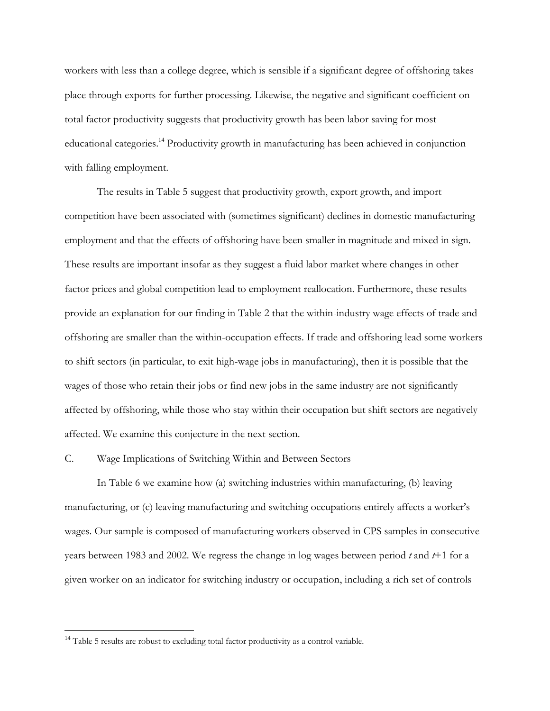workers with less than a college degree, which is sensible if a significant degree of offshoring takes place through exports for further processing. Likewise, the negative and significant coefficient on total factor productivity suggests that productivity growth has been labor saving for most educational categories.<sup>14</sup> Productivity growth in manufacturing has been achieved in conjunction with falling employment.

The results in Table 5 suggest that productivity growth, export growth, and import competition have been associated with (sometimes significant) declines in domestic manufacturing employment and that the effects of offshoring have been smaller in magnitude and mixed in sign. These results are important insofar as they suggest a fluid labor market where changes in other factor prices and global competition lead to employment reallocation. Furthermore, these results provide an explanation for our finding in Table 2 that the within-industry wage effects of trade and offshoring are smaller than the within-occupation effects. If trade and offshoring lead some workers to shift sectors (in particular, to exit high-wage jobs in manufacturing), then it is possible that the wages of those who retain their jobs or find new jobs in the same industry are not significantly affected by offshoring, while those who stay within their occupation but shift sectors are negatively affected. We examine this conjecture in the next section.

### C. Wage Implications of Switching Within and Between Sectors

In Table 6 we examine how (a) switching industries within manufacturing, (b) leaving manufacturing, or (c) leaving manufacturing and switching occupations entirely affects a worker's wages. Our sample is composed of manufacturing workers observed in CPS samples in consecutive years between 1983 and 2002. We regress the change in log wages between period *t* and *t*+1 for a given worker on an indicator for switching industry or occupation, including a rich set of controls

<sup>&</sup>lt;sup>14</sup> Table 5 results are robust to excluding total factor productivity as a control variable.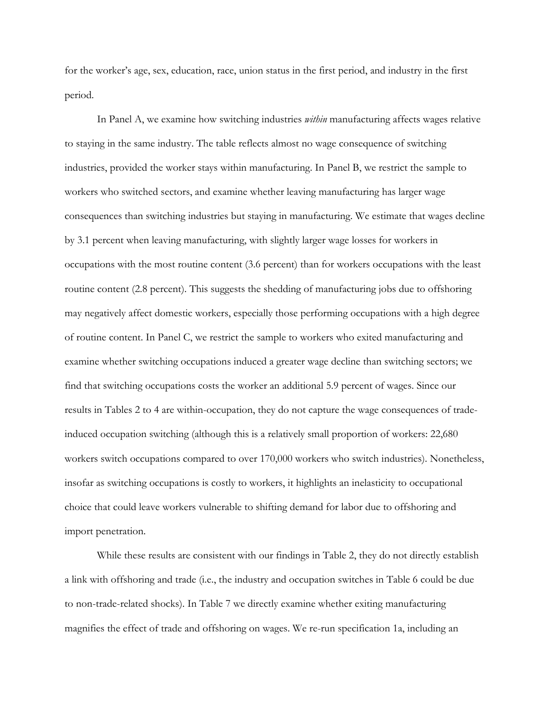for the worker's age, sex, education, race, union status in the first period, and industry in the first period.

In Panel A, we examine how switching industries *within* manufacturing affects wages relative to staying in the same industry. The table reflects almost no wage consequence of switching industries, provided the worker stays within manufacturing. In Panel B, we restrict the sample to workers who switched sectors, and examine whether leaving manufacturing has larger wage consequences than switching industries but staying in manufacturing. We estimate that wages decline by 3.1 percent when leaving manufacturing, with slightly larger wage losses for workers in occupations with the most routine content (3.6 percent) than for workers occupations with the least routine content (2.8 percent). This suggests the shedding of manufacturing jobs due to offshoring may negatively affect domestic workers, especially those performing occupations with a high degree of routine content. In Panel C, we restrict the sample to workers who exited manufacturing and examine whether switching occupations induced a greater wage decline than switching sectors; we find that switching occupations costs the worker an additional 5.9 percent of wages. Since our results in Tables 2 to 4 are within-occupation, they do not capture the wage consequences of tradeinduced occupation switching (although this is a relatively small proportion of workers: 22,680 workers switch occupations compared to over 170,000 workers who switch industries). Nonetheless, insofar as switching occupations is costly to workers, it highlights an inelasticity to occupational choice that could leave workers vulnerable to shifting demand for labor due to offshoring and import penetration.

While these results are consistent with our findings in Table 2, they do not directly establish a link with offshoring and trade (i.e., the industry and occupation switches in Table 6 could be due to non-trade-related shocks). In Table 7 we directly examine whether exiting manufacturing magnifies the effect of trade and offshoring on wages. We re-run specification 1a, including an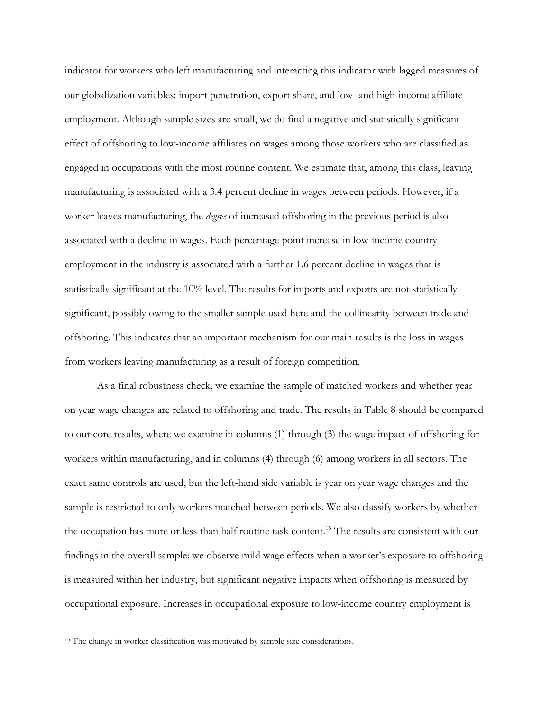indicator for workers who left manufacturing and interacting this indicator with lagged measures of our globalization variables: import penetration, export share, and low- and high-income affiliate employment. Although sample sizes are small, we do find a negative and statistically significant effect of offshoring to low-income affiliates on wages among those workers who are classified as engaged in occupations with the most routine content. We estimate that, among this class, leaving manufacturing is associated with a 3.4 percent decline in wages between periods. However, if a worker leaves manufacturing, the *degree* of increased offshoring in the previous period is also associated with a decline in wages. Each percentage point increase in low-income country employment in the industry is associated with a further 1.6 percent decline in wages that is statistically significant at the 10% level. The results for imports and exports are not statistically significant, possibly owing to the smaller sample used here and the collinearity between trade and offshoring. This indicates that an important mechanism for our main results is the loss in wages from workers leaving manufacturing as a result of foreign competition.

As a final robustness check, we examine the sample of matched workers and whether year on year wage changes are related to offshoring and trade. The results in Table 8 should be compared to our core results, where we examine in columns (1) through (3) the wage impact of offshoring for workers within manufacturing, and in columns (4) through (6) among workers in all sectors. The exact same controls are used, but the left-hand side variable is year on year wage changes and the sample is restricted to only workers matched between periods. We also classify workers by whether the occupation has more or less than half routine task content.<sup>15</sup> The results are consistent with our findings in the overall sample: we observe mild wage effects when a worker's exposure to offshoring is measured within her industry, but significant negative impacts when offshoring is measured by occupational exposure. Increases in occupational exposure to low-income country employment is

<sup>&</sup>lt;sup>15</sup> The change in worker classification was motivated by sample size considerations.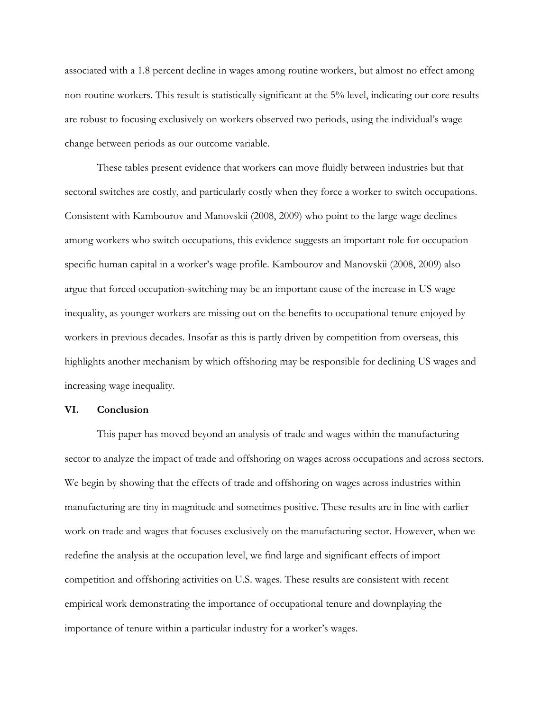associated with a 1.8 percent decline in wages among routine workers, but almost no effect among non-routine workers. This result is statistically significant at the 5% level, indicating our core results are robust to focusing exclusively on workers observed two periods, using the individual's wage change between periods as our outcome variable.

These tables present evidence that workers can move fluidly between industries but that sectoral switches are costly, and particularly costly when they force a worker to switch occupations. Consistent with Kambourov and Manovskii (2008, 2009) who point to the large wage declines among workers who switch occupations, this evidence suggests an important role for occupationspecific human capital in a worker's wage profile. Kambourov and Manovskii (2008, 2009) also argue that forced occupation-switching may be an important cause of the increase in US wage inequality, as younger workers are missing out on the benefits to occupational tenure enjoyed by workers in previous decades. Insofar as this is partly driven by competition from overseas, this highlights another mechanism by which offshoring may be responsible for declining US wages and increasing wage inequality.

### **VI. Conclusion**

This paper has moved beyond an analysis of trade and wages within the manufacturing sector to analyze the impact of trade and offshoring on wages across occupations and across sectors. We begin by showing that the effects of trade and offshoring on wages across industries within manufacturing are tiny in magnitude and sometimes positive. These results are in line with earlier work on trade and wages that focuses exclusively on the manufacturing sector. However, when we redefine the analysis at the occupation level, we find large and significant effects of import competition and offshoring activities on U.S. wages. These results are consistent with recent empirical work demonstrating the importance of occupational tenure and downplaying the importance of tenure within a particular industry for a worker's wages.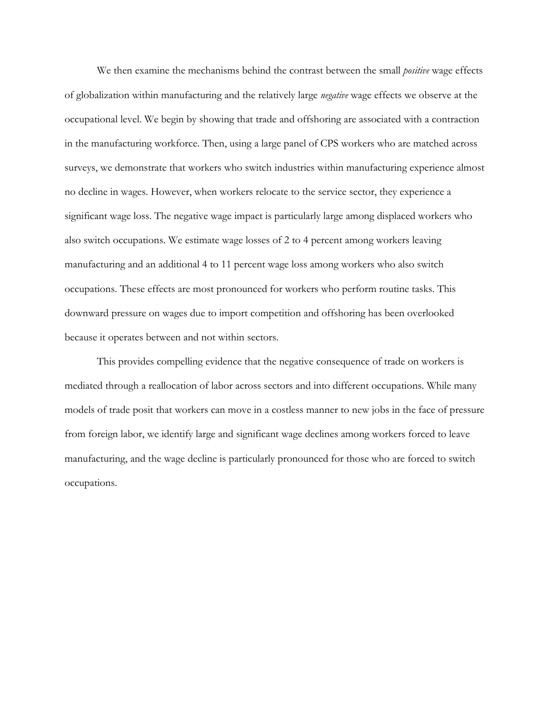We then examine the mechanisms behind the contrast between the small *positive* wage effects of globalization within manufacturing and the relatively large *negative* wage effects we observe at the occupational level. We begin by showing that trade and offshoring are associated with a contraction in the manufacturing workforce. Then, using a large panel of CPS workers who are matched across surveys, we demonstrate that workers who switch industries within manufacturing experience almost no decline in wages. However, when workers relocate to the service sector, they experience a significant wage loss. The negative wage impact is particularly large among displaced workers who also switch occupations. We estimate wage losses of 2 to 4 percent among workers leaving manufacturing and an additional 4 to 11 percent wage loss among workers who also switch occupations. These effects are most pronounced for workers who perform routine tasks. This downward pressure on wages due to import competition and offshoring has been overlooked because it operates between and not within sectors.

This provides compelling evidence that the negative consequence of trade on workers is mediated through a reallocation of labor across sectors and into different occupations. While many models of trade posit that workers can move in a costless manner to new jobs in the face of pressure from foreign labor, we identify large and significant wage declines among workers forced to leave manufacturing, and the wage decline is particularly pronounced for those who are forced to switch occupations.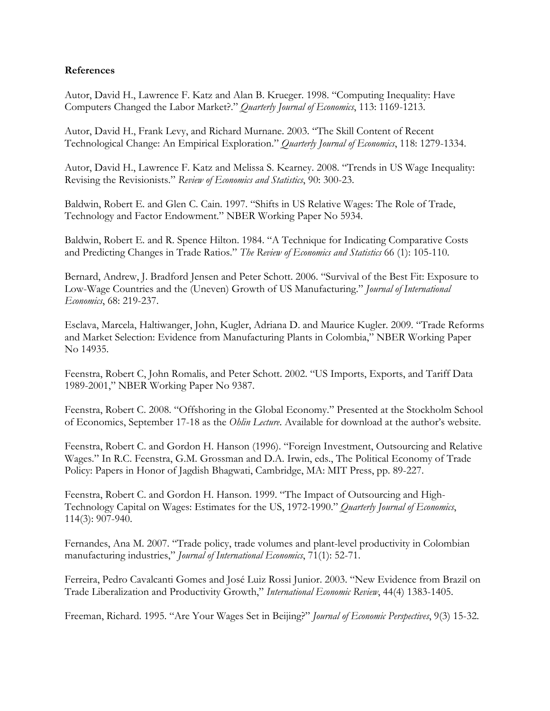## **References**

Autor, David H., Lawrence F. Katz and Alan B. Krueger. 1998. "Computing Inequality: Have Computers Changed the Labor Market?." *Quarterly Journal of Economics*, 113: 1169-1213.

Autor, David H., Frank Levy, and Richard Murnane. 2003. "The Skill Content of Recent Technological Change: An Empirical Exploration." *Quarterly Journal of Economics*, 118: 1279-1334.

Autor, David H., Lawrence F. Katz and Melissa S. Kearney. 2008. "Trends in US Wage Inequality: Revising the Revisionists." *Review of Economics and Statistics*, 90: 300-23.

Baldwin, Robert E. and Glen C. Cain. 1997. "Shifts in US Relative Wages: The Role of Trade, Technology and Factor Endowment." NBER Working Paper No 5934.

Baldwin, Robert E. and R. Spence Hilton. 1984. "A Technique for Indicating Comparative Costs and Predicting Changes in Trade Ratios." *The Review of Economics and Statistics* 66 (1): 105-110.

Bernard, Andrew, J. Bradford Jensen and Peter Schott. 2006. "Survival of the Best Fit: Exposure to Low-Wage Countries and the (Uneven) Growth of US Manufacturing." *Journal of International Economics*, 68: 219-237.

Esclava, Marcela, Haltiwanger, John, Kugler, Adriana D. and Maurice Kugler. 2009. "Trade Reforms and Market Selection: Evidence from Manufacturing Plants in Colombia," NBER Working Paper No 14935.

Feenstra, Robert C, John Romalis, and Peter Schott. 2002. "US Imports, Exports, and Tariff Data 1989-2001," NBER Working Paper No 9387.

Feenstra, Robert C. 2008. "Offshoring in the Global Economy." Presented at the Stockholm School of Economics, September 17-18 as the *Ohlin Lecture*. Available for download at the author's website.

Feenstra, Robert C. and Gordon H. Hanson (1996). "Foreign Investment, Outsourcing and Relative Wages." In R.C. Feenstra, G.M. Grossman and D.A. Irwin, eds., The Political Economy of Trade Policy: Papers in Honor of Jagdish Bhagwati, Cambridge, MA: MIT Press, pp. 89-227.

Feenstra, Robert C. and Gordon H. Hanson. 1999. "The Impact of Outsourcing and High-Technology Capital on Wages: Estimates for the US, 1972-1990." *Quarterly Journal of Economics*, 114(3): 907-940.

Fernandes, Ana M. 2007. "Trade policy, trade volumes and plant-level productivity in Colombian manufacturing industries," *Journal of International Economics*, 71(1): 52-71.

Ferreira, Pedro Cavalcanti Gomes and José Luiz Rossi Junior. 2003. "New Evidence from Brazil on Trade Liberalization and Productivity Growth," *International Economic Review*, 44(4) 1383-1405.

Freeman, Richard. 1995. "Are Your Wages Set in Beijing?" *Journal of Economic Perspectives*, 9(3) 15-32.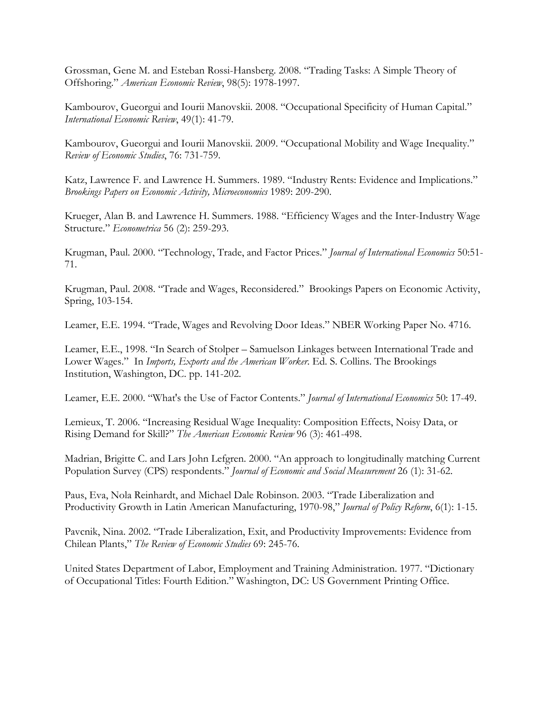Grossman, Gene M. and Esteban Rossi-Hansberg. 2008. "Trading Tasks: A Simple Theory of Offshoring." *American Economic Review*, 98(5): 1978-1997.

Kambourov, Gueorgui and Iourii Manovskii. 2008. "Occupational Specificity of Human Capital." *International Economic Review*, 49(1): 41-79.

Kambourov, Gueorgui and Iourii Manovskii. 2009. "Occupational Mobility and Wage Inequality." *Review of Economic Studies*, 76: 731-759.

Katz, Lawrence F. and Lawrence H. Summers. 1989. "Industry Rents: Evidence and Implications." *Brookings Papers on Economic Activity, Microeconomics* 1989: 209-290.

Krueger, Alan B. and Lawrence H. Summers. 1988. "Efficiency Wages and the Inter-Industry Wage Structure." *Econometrica* 56 (2): 259-293.

Krugman, Paul. 2000. "Technology, Trade, and Factor Prices." *Journal of International Economics* 50:51- 71.

Krugman, Paul. 2008. "Trade and Wages, Reconsidered." Brookings Papers on Economic Activity, Spring, 103-154.

Leamer, E.E. 1994. "Trade, Wages and Revolving Door Ideas." NBER Working Paper No. 4716.

Leamer, E.E., 1998. "In Search of Stolper – Samuelson Linkages between International Trade and Lower Wages." In *Imports, Exports and the American Worker*. Ed. S. Collins. The Brookings Institution, Washington, DC. pp. 141-202.

Leamer, E.E. 2000. "What's the Use of Factor Contents." *Journal of International Economics* 50: 17-49.

Lemieux, T. 2006. "Increasing Residual Wage Inequality: Composition Effects, Noisy Data, or Rising Demand for Skill?" *The American Economic Review* 96 (3): 461-498.

Madrian, Brigitte C. and Lars John Lefgren. 2000. "An approach to longitudinally matching Current Population Survey (CPS) respondents." *Journal of Economic and Social Measurement* 26 (1): 31-62.

Paus, Eva, Nola Reinhardt, and Michael Dale Robinson. 2003. "Trade Liberalization and Productivity Growth in Latin American Manufacturing, 1970-98," *Journal of Policy Reform*, 6(1): 1-15.

Pavcnik, Nina. 2002. "Trade Liberalization, Exit, and Productivity Improvements: Evidence from Chilean Plants," *The Review of Economic Studies* 69: 245-76.

United States Department of Labor, Employment and Training Administration. 1977. "Dictionary of Occupational Titles: Fourth Edition." Washington, DC: US Government Printing Office.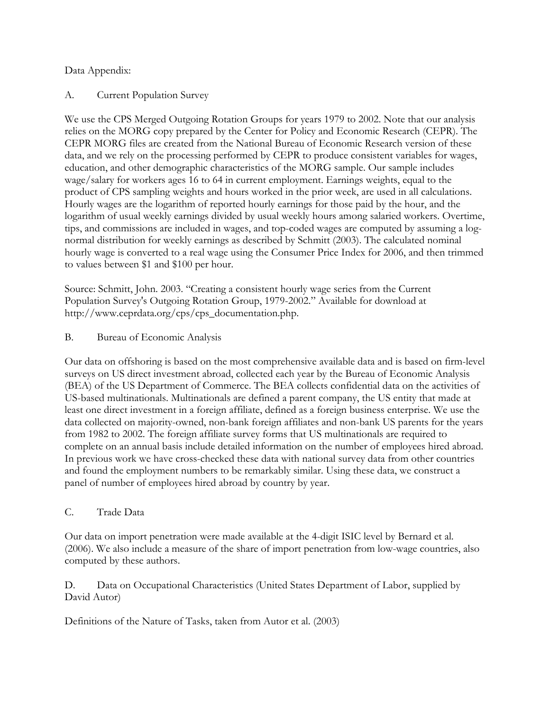## Data Appendix:

## A. Current Population Survey

We use the CPS Merged Outgoing Rotation Groups for years 1979 to 2002. Note that our analysis relies on the MORG copy prepared by the Center for Policy and Economic Research (CEPR). The CEPR MORG files are created from the National Bureau of Economic Research version of these data, and we rely on the processing performed by CEPR to produce consistent variables for wages, education, and other demographic characteristics of the MORG sample. Our sample includes wage/salary for workers ages 16 to 64 in current employment. Earnings weights, equal to the product of CPS sampling weights and hours worked in the prior week, are used in all calculations. Hourly wages are the logarithm of reported hourly earnings for those paid by the hour, and the logarithm of usual weekly earnings divided by usual weekly hours among salaried workers. Overtime, tips, and commissions are included in wages, and top-coded wages are computed by assuming a lognormal distribution for weekly earnings as described by Schmitt (2003). The calculated nominal hourly wage is converted to a real wage using the Consumer Price Index for 2006, and then trimmed to values between \$1 and \$100 per hour.

Source: Schmitt, John. 2003. "Creating a consistent hourly wage series from the Current Population Survey's Outgoing Rotation Group, 1979-2002." Available for download at http://www.ceprdata.org/cps/cps\_documentation.php.

## B. Bureau of Economic Analysis

Our data on offshoring is based on the most comprehensive available data and is based on firm-level surveys on US direct investment abroad, collected each year by the Bureau of Economic Analysis (BEA) of the US Department of Commerce. The BEA collects confidential data on the activities of US-based multinationals. Multinationals are defined a parent company, the US entity that made at least one direct investment in a foreign affiliate, defined as a foreign business enterprise. We use the data collected on majority-owned, non-bank foreign affiliates and non-bank US parents for the years from 1982 to 2002. The foreign affiliate survey forms that US multinationals are required to complete on an annual basis include detailed information on the number of employees hired abroad. In previous work we have cross-checked these data with national survey data from other countries and found the employment numbers to be remarkably similar. Using these data, we construct a panel of number of employees hired abroad by country by year.

## C. Trade Data

Our data on import penetration were made available at the 4-digit ISIC level by Bernard et al. (2006). We also include a measure of the share of import penetration from low-wage countries, also computed by these authors.

D. Data on Occupational Characteristics (United States Department of Labor, supplied by David Autor)

Definitions of the Nature of Tasks, taken from Autor et al. (2003)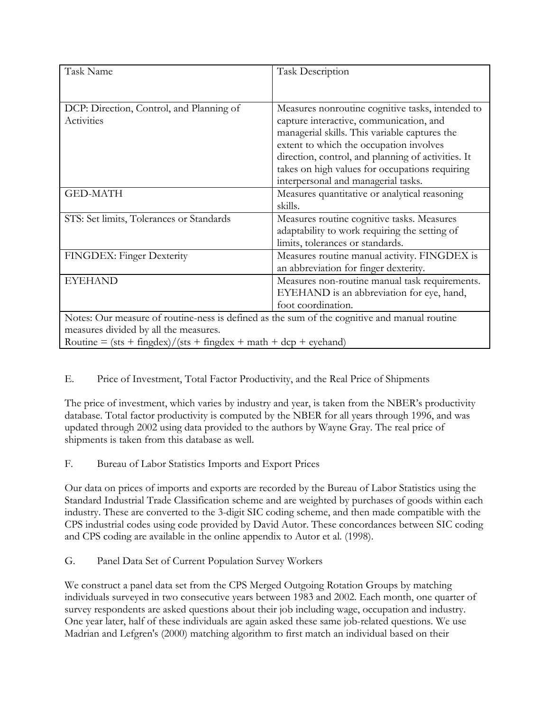| Task Name                                                                                                                                                                                                   | <b>Task Description</b>                                                                                                                                                                                                                                                                                                                |  |  |  |  |  |  |
|-------------------------------------------------------------------------------------------------------------------------------------------------------------------------------------------------------------|----------------------------------------------------------------------------------------------------------------------------------------------------------------------------------------------------------------------------------------------------------------------------------------------------------------------------------------|--|--|--|--|--|--|
|                                                                                                                                                                                                             |                                                                                                                                                                                                                                                                                                                                        |  |  |  |  |  |  |
| DCP: Direction, Control, and Planning of<br>Activities                                                                                                                                                      | Measures nonroutine cognitive tasks, intended to<br>capture interactive, communication, and<br>managerial skills. This variable captures the<br>extent to which the occupation involves<br>direction, control, and planning of activities. It<br>takes on high values for occupations requiring<br>interpersonal and managerial tasks. |  |  |  |  |  |  |
| <b>GED-MATH</b>                                                                                                                                                                                             | Measures quantitative or analytical reasoning<br>skills.                                                                                                                                                                                                                                                                               |  |  |  |  |  |  |
| STS: Set limits, Tolerances or Standards                                                                                                                                                                    | Measures routine cognitive tasks. Measures<br>adaptability to work requiring the setting of<br>limits, tolerances or standards.                                                                                                                                                                                                        |  |  |  |  |  |  |
| FINGDEX: Finger Dexterity                                                                                                                                                                                   | Measures routine manual activity. FINGDEX is<br>an abbreviation for finger dexterity.                                                                                                                                                                                                                                                  |  |  |  |  |  |  |
| <b>EYEHAND</b>                                                                                                                                                                                              | Measures non-routine manual task requirements.<br>EYEHAND is an abbreviation for eye, hand,<br>foot coordination.                                                                                                                                                                                                                      |  |  |  |  |  |  |
| Notes: Our measure of routine-ness is defined as the sum of the cognitive and manual routine<br>measures divided by all the measures.<br>Routine = $(sts + fingdex)/(sts + fingdex + math + dcp + eychand)$ |                                                                                                                                                                                                                                                                                                                                        |  |  |  |  |  |  |

## E. Price of Investment, Total Factor Productivity, and the Real Price of Shipments

The price of investment, which varies by industry and year, is taken from the NBER's productivity database. Total factor productivity is computed by the NBER for all years through 1996, and was updated through 2002 using data provided to the authors by Wayne Gray. The real price of shipments is taken from this database as well.

## F. Bureau of Labor Statistics Imports and Export Prices

Our data on prices of imports and exports are recorded by the Bureau of Labor Statistics using the Standard Industrial Trade Classification scheme and are weighted by purchases of goods within each industry. These are converted to the 3-digit SIC coding scheme, and then made compatible with the CPS industrial codes using code provided by David Autor. These concordances between SIC coding and CPS coding are available in the online appendix to Autor et al. (1998).

G. Panel Data Set of Current Population Survey Workers

We construct a panel data set from the CPS Merged Outgoing Rotation Groups by matching individuals surveyed in two consecutive years between 1983 and 2002. Each month, one quarter of survey respondents are asked questions about their job including wage, occupation and industry. One year later, half of these individuals are again asked these same job-related questions. We use Madrian and Lefgren's (2000) matching algorithm to first match an individual based on their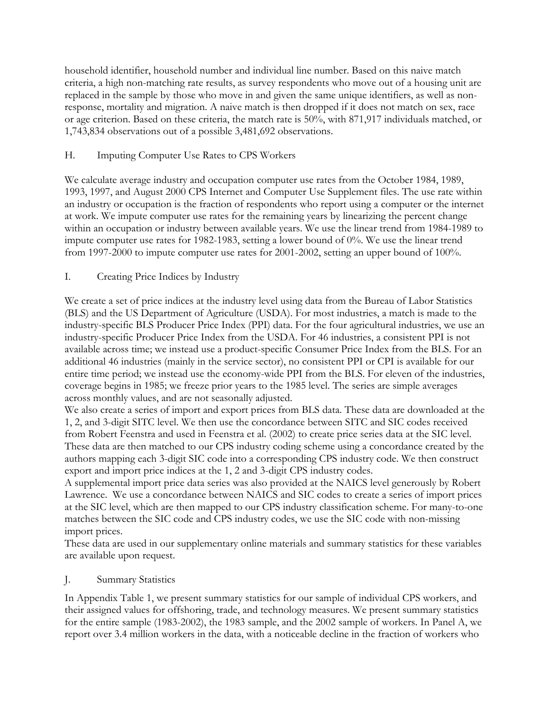household identifier, household number and individual line number. Based on this naive match criteria, a high non-matching rate results, as survey respondents who move out of a housing unit are replaced in the sample by those who move in and given the same unique identifiers, as well as nonresponse, mortality and migration. A naive match is then dropped if it does not match on sex, race or age criterion. Based on these criteria, the match rate is 50%, with 871,917 individuals matched, or 1,743,834 observations out of a possible 3,481,692 observations.

## H. Imputing Computer Use Rates to CPS Workers

We calculate average industry and occupation computer use rates from the October 1984, 1989, 1993, 1997, and August 2000 CPS Internet and Computer Use Supplement files. The use rate within an industry or occupation is the fraction of respondents who report using a computer or the internet at work. We impute computer use rates for the remaining years by linearizing the percent change within an occupation or industry between available years. We use the linear trend from 1984-1989 to impute computer use rates for 1982-1983, setting a lower bound of 0%. We use the linear trend from 1997-2000 to impute computer use rates for 2001-2002, setting an upper bound of 100%.

## I. Creating Price Indices by Industry

We create a set of price indices at the industry level using data from the Bureau of Labor Statistics (BLS) and the US Department of Agriculture (USDA). For most industries, a match is made to the industry-specific BLS Producer Price Index (PPI) data. For the four agricultural industries, we use an industry-specific Producer Price Index from the USDA. For 46 industries, a consistent PPI is not available across time; we instead use a product-specific Consumer Price Index from the BLS. For an additional 46 industries (mainly in the service sector), no consistent PPI or CPI is available for our entire time period; we instead use the economy-wide PPI from the BLS. For eleven of the industries, coverage begins in 1985; we freeze prior years to the 1985 level. The series are simple averages across monthly values, and are not seasonally adjusted.

We also create a series of import and export prices from BLS data. These data are downloaded at the 1, 2, and 3-digit SITC level. We then use the concordance between SITC and SIC codes received from Robert Feenstra and used in Feenstra et al. (2002) to create price series data at the SIC level. These data are then matched to our CPS industry coding scheme using a concordance created by the authors mapping each 3-digit SIC code into a corresponding CPS industry code. We then construct export and import price indices at the 1, 2 and 3-digit CPS industry codes.

A supplemental import price data series was also provided at the NAICS level generously by Robert Lawrence. We use a concordance between NAICS and SIC codes to create a series of import prices at the SIC level, which are then mapped to our CPS industry classification scheme. For many-to-one matches between the SIC code and CPS industry codes, we use the SIC code with non-missing import prices.

These data are used in our supplementary online materials and summary statistics for these variables are available upon request.

## J. Summary Statistics

In Appendix Table 1, we present summary statistics for our sample of individual CPS workers, and their assigned values for offshoring, trade, and technology measures. We present summary statistics for the entire sample (1983-2002), the 1983 sample, and the 2002 sample of workers. In Panel A, we report over 3.4 million workers in the data, with a noticeable decline in the fraction of workers who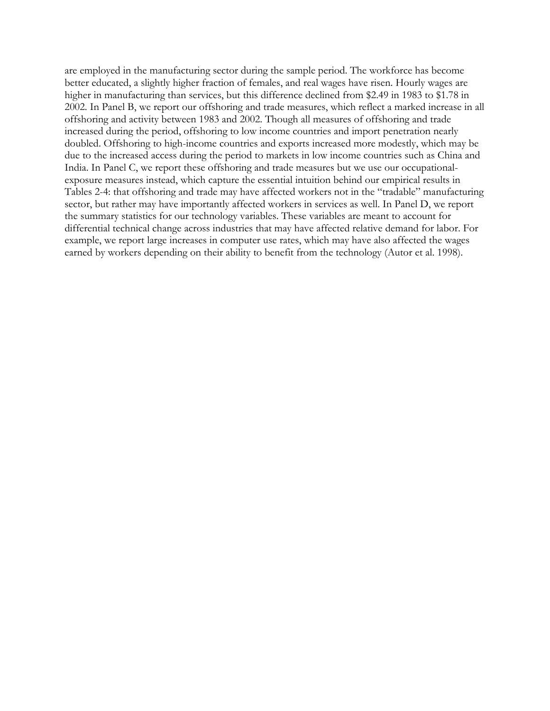are employed in the manufacturing sector during the sample period. The workforce has become better educated, a slightly higher fraction of females, and real wages have risen. Hourly wages are higher in manufacturing than services, but this difference declined from \$2.49 in 1983 to \$1.78 in 2002. In Panel B, we report our offshoring and trade measures, which reflect a marked increase in all offshoring and activity between 1983 and 2002. Though all measures of offshoring and trade increased during the period, offshoring to low income countries and import penetration nearly doubled. Offshoring to high-income countries and exports increased more modestly, which may be due to the increased access during the period to markets in low income countries such as China and India. In Panel C, we report these offshoring and trade measures but we use our occupationalexposure measures instead, which capture the essential intuition behind our empirical results in Tables 2-4: that offshoring and trade may have affected workers not in the "tradable" manufacturing sector, but rather may have importantly affected workers in services as well. In Panel D, we report the summary statistics for our technology variables. These variables are meant to account for differential technical change across industries that may have affected relative demand for labor. For example, we report large increases in computer use rates, which may have also affected the wages earned by workers depending on their ability to benefit from the technology (Autor et al. 1998).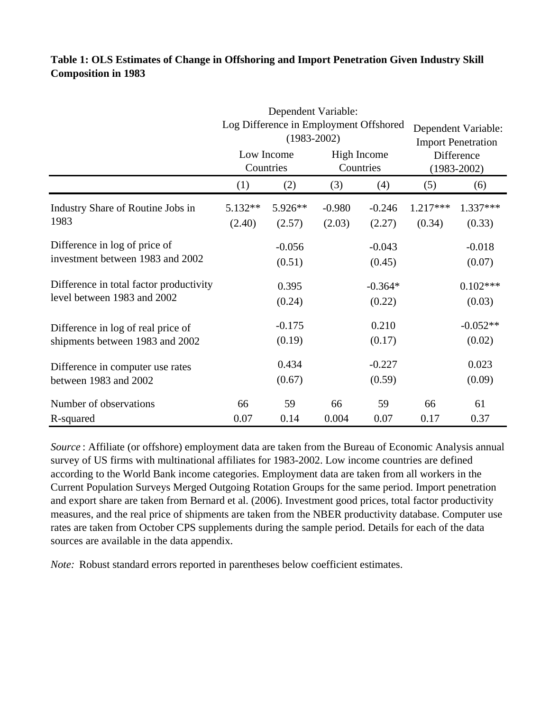# **Table 1: OLS Estimates of Change in Offshoring and Import Penetration Given Industry Skill Composition in 1983**

|                                         |                                                                                            | Dependent Variable:                                       |          |                                 |            |                                                  |  |  |  |  |  |  |
|-----------------------------------------|--------------------------------------------------------------------------------------------|-----------------------------------------------------------|----------|---------------------------------|------------|--------------------------------------------------|--|--|--|--|--|--|
|                                         |                                                                                            | Log Difference in Employment Offshored<br>$(1983 - 2002)$ |          |                                 |            | Dependent Variable:<br><b>Import Penetration</b> |  |  |  |  |  |  |
|                                         |                                                                                            | Low Income<br>Countries                                   |          | <b>High Income</b><br>Countries |            | Difference<br>$(1983 - 2002)$                    |  |  |  |  |  |  |
|                                         | (1)                                                                                        | (2)                                                       | (3)      | (4)                             | (5)        | (6)                                              |  |  |  |  |  |  |
| Industry Share of Routine Jobs in       | $5.132**$                                                                                  | 5.926**                                                   | $-0.980$ | $-0.246$                        | $1.217***$ | 1.337***                                         |  |  |  |  |  |  |
| 1983                                    | (2.03)<br>(0.34)<br>(2.40)<br>(2.57)<br>(2.27)<br>$-0.056$<br>$-0.043$<br>(0.51)<br>(0.45) | (0.33)                                                    |          |                                 |            |                                                  |  |  |  |  |  |  |
| Difference in log of price of           |                                                                                            |                                                           |          |                                 |            | $-0.018$                                         |  |  |  |  |  |  |
| investment between 1983 and 2002        |                                                                                            |                                                           |          |                                 |            | (0.07)                                           |  |  |  |  |  |  |
| Difference in total factor productivity |                                                                                            | 0.395                                                     |          | $-0.364*$                       |            | $0.102***$                                       |  |  |  |  |  |  |
| level between 1983 and 2002             |                                                                                            | (0.24)                                                    |          | (0.22)                          |            | (0.03)                                           |  |  |  |  |  |  |
| Difference in log of real price of      |                                                                                            | $-0.175$                                                  |          | 0.210                           |            | $-0.052**$                                       |  |  |  |  |  |  |
| shipments between 1983 and 2002         |                                                                                            | (0.19)                                                    |          | (0.17)                          |            | (0.02)                                           |  |  |  |  |  |  |
| Difference in computer use rates        |                                                                                            | 0.434                                                     |          | $-0.227$                        |            | 0.023                                            |  |  |  |  |  |  |
| between 1983 and 2002                   |                                                                                            | (0.67)                                                    |          | (0.59)                          |            | (0.09)                                           |  |  |  |  |  |  |
| Number of observations                  | 66                                                                                         | 59                                                        | 66       | 59                              | 66         | 61                                               |  |  |  |  |  |  |
| R-squared                               | 0.07                                                                                       | 0.14                                                      | 0.004    | 0.07                            | 0.17       | 0.37                                             |  |  |  |  |  |  |

*Source* : Affiliate (or offshore) employment data are taken from the Bureau of Economic Analysis annual survey of US firms with multinational affiliates for 1983-2002. Low income countries are defined according to the World Bank income categories. Employment data are taken from all workers in the Current Population Surveys Merged Outgoing Rotation Groups for the same period. Import penetration and export share are taken from Bernard et al. (2006). Investment good prices, total factor productivity measures, and the real price of shipments are taken from the NBER productivity database. Computer use rates are taken from October CPS supplements during the sample period. Details for each of the data sources are available in the data appendix.

*Note:* Robust standard errors reported in parentheses below coefficient estimates.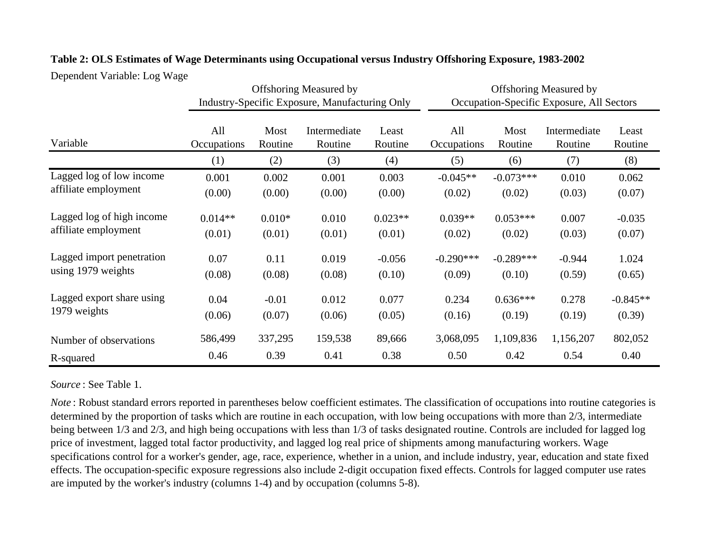|                           |                    |                 | <b>Offshoring Measured by</b><br><b>Industry-Specific Exposure, Manufacturing Only</b> |                  |                    | <b>Offshoring Measured by</b><br>Occupation-Specific Exposure, All Sectors |                         |                  |  |  |  |
|---------------------------|--------------------|-----------------|----------------------------------------------------------------------------------------|------------------|--------------------|----------------------------------------------------------------------------|-------------------------|------------------|--|--|--|
| Variable                  | All<br>Occupations | Most<br>Routine | Intermediate<br>Routine                                                                | Least<br>Routine | All<br>Occupations | Most<br>Routine                                                            | Intermediate<br>Routine | Least<br>Routine |  |  |  |
|                           | (1)                | (2)             | (3)                                                                                    | (4)              | (5)                | (6)                                                                        | (7)                     | (8)              |  |  |  |
| Lagged log of low income  | 0.001              | 0.002           | 0.001                                                                                  | 0.003            | $-0.045**$         | $-0.073***$                                                                | 0.010                   | 0.062            |  |  |  |
| affiliate employment      | (0.00)             | (0.00)          | (0.00)                                                                                 | (0.00)           | (0.02)             | (0.02)                                                                     | (0.03)                  | (0.07)           |  |  |  |
| Lagged log of high income | $0.014**$          | $0.010*$        | 0.010                                                                                  | $0.023**$        | $0.039**$          | $0.053***$                                                                 | 0.007                   | $-0.035$         |  |  |  |
| affiliate employment      | (0.01)             | (0.01)          | (0.01)                                                                                 | (0.01)           | (0.02)             | (0.02)                                                                     | (0.03)                  | (0.07)           |  |  |  |
| Lagged import penetration | 0.07               | 0.11            | 0.019                                                                                  | $-0.056$         | $-0.290***$        | $-0.289***$                                                                | $-0.944$                | 1.024            |  |  |  |
| using 1979 weights        | (0.08)             | (0.08)          | (0.08)                                                                                 | (0.10)           | (0.09)             | (0.10)                                                                     | (0.59)                  | (0.65)           |  |  |  |
| Lagged export share using | 0.04               | $-0.01$         | 0.012                                                                                  | 0.077            | 0.234              | $0.636***$                                                                 | 0.278                   | $-0.845**$       |  |  |  |
| 1979 weights              | (0.06)             | (0.07)          | (0.06)                                                                                 | (0.05)           | (0.16)             | (0.19)                                                                     | (0.19)                  | (0.39)           |  |  |  |
| Number of observations    | 586,499            | 337,295         | 159,538                                                                                | 89,666           | 3,068,095          | 1,109,836                                                                  | 1,156,207               | 802,052          |  |  |  |
| R-squared                 | 0.46               | 0.39            | 0.41                                                                                   | 0.38             | 0.50               | 0.42                                                                       | 0.54                    | 0.40             |  |  |  |

# **Table 2: OLS Estimates of Wage Determinants using Occupational versus Industry Offshoring Exposure, 1983-2002**

Dependent Variable: Log Wage

# *Source* : See Table 1.

*Note* : Robust standard errors reported in parentheses below coefficient estimates. The classification of occupations into routine categories is determined by the proportion of tasks which are routine in each occupation, with low being occupations with more than 2/3, intermediate being between 1/3 and 2/3, and high being occupations with less than 1/3 of tasks designated routine. Controls are included for lagged log price of investment, lagged total factor productivity, and lagged log real price of shipments among manufacturing workers. Wage specifications control for a worker's gender, age, race, experience, whether in a union, and include industry, year, education and state fixed effects. The occupation-specific exposure regressions also include 2-digit occupation fixed effects. Controls for lagged computer use rates are imputed by the worker's industry (columns 1-4) and by occupation (columns 5-8).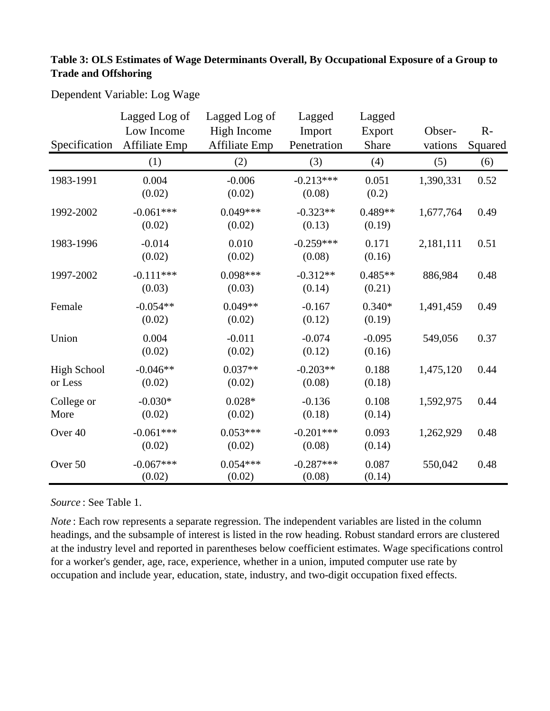# **Table 3: OLS Estimates of Wage Determinants Overall, By Occupational Exposure of a Group to Trade and Offshoring**

Dependent Variable: Log Wage

| Specification                 | Lagged Log of<br>Low Income<br><b>Affiliate Emp</b> | Lagged Log of<br><b>High Income</b><br><b>Affiliate Emp</b> | Lagged<br>Import<br>Penetration | Lagged<br>Export<br>Share | Obser-<br>vations | $R -$<br>Squared |
|-------------------------------|-----------------------------------------------------|-------------------------------------------------------------|---------------------------------|---------------------------|-------------------|------------------|
|                               | (1)                                                 | (2)                                                         | (3)                             | (4)                       | (5)               | (6)              |
| 1983-1991                     | 0.004<br>(0.02)                                     | $-0.006$<br>(0.02)                                          | $-0.213***$<br>(0.08)           | 0.051<br>(0.2)            | 1,390,331         | 0.52             |
| 1992-2002                     | $-0.061***$<br>(0.02)                               | $0.049***$<br>(0.02)                                        | $-0.323**$<br>(0.13)            | $0.489**$<br>(0.19)       | 1,677,764         | 0.49             |
| 1983-1996                     | $-0.014$<br>(0.02)                                  | 0.010<br>(0.02)                                             | $-0.259***$<br>(0.08)           | 0.171<br>(0.16)           | 2,181,111         | 0.51             |
| 1997-2002                     | $-0.111***$<br>(0.03)                               | $0.098***$<br>(0.03)                                        | $-0.312**$<br>(0.14)            | $0.485**$<br>(0.21)       | 886,984           | 0.48             |
| Female                        | $-0.054**$<br>(0.02)                                | $0.049**$<br>(0.02)                                         | $-0.167$<br>(0.12)              | $0.340*$<br>(0.19)        | 1,491,459         | 0.49             |
| Union                         | 0.004<br>(0.02)                                     | $-0.011$<br>(0.02)                                          | $-0.074$<br>(0.12)              | $-0.095$<br>(0.16)        | 549,056           | 0.37             |
| <b>High School</b><br>or Less | $-0.046**$<br>(0.02)                                | $0.037**$<br>(0.02)                                         | $-0.203**$<br>(0.08)            | 0.188<br>(0.18)           | 1,475,120         | 0.44             |
| College or<br>More            | $-0.030*$<br>(0.02)                                 | $0.028*$<br>(0.02)                                          | $-0.136$<br>(0.18)              | 0.108<br>(0.14)           | 1,592,975         | 0.44             |
| Over 40                       | $-0.061***$<br>(0.02)                               | $0.053***$<br>(0.02)                                        | $-0.201***$<br>(0.08)           | 0.093<br>(0.14)           | 1,262,929         | 0.48             |
| Over 50                       | $-0.067***$<br>(0.02)                               | $0.054***$<br>(0.02)                                        | $-0.287***$<br>(0.08)           | 0.087<br>(0.14)           | 550,042           | 0.48             |

*Source* : See Table 1.

*Note* : Each row represents a separate regression. The independent variables are listed in the column headings, and the subsample of interest is listed in the row heading. Robust standard errors are clustered at the industry level and reported in parentheses below coefficient estimates. Wage specifications control for a worker's gender, age, race, experience, whether in a union, imputed computer use rate by occupation and include year, education, state, industry, and two-digit occupation fixed effects.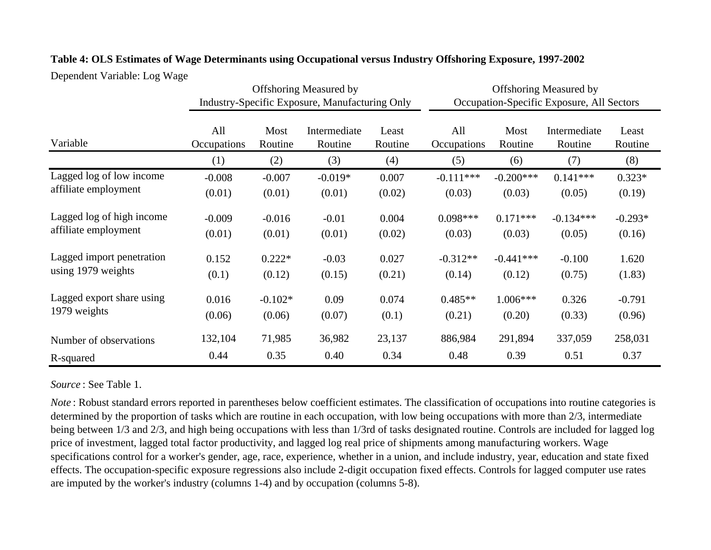|                           |                                                                                                                                                                                                          |                 | <b>Offshoring Measured by</b><br>Industry-Specific Exposure, Manufacturing Only |                  |                    | <b>Offshoring Measured by</b><br>Occupation-Specific Exposure, All Sectors |                         |                  |  |  |  |
|---------------------------|----------------------------------------------------------------------------------------------------------------------------------------------------------------------------------------------------------|-----------------|---------------------------------------------------------------------------------|------------------|--------------------|----------------------------------------------------------------------------|-------------------------|------------------|--|--|--|
| Variable                  | All<br>Occupations                                                                                                                                                                                       | Most<br>Routine | Intermediate<br>Routine                                                         | Least<br>Routine | All<br>Occupations | Most<br>Routine                                                            | Intermediate<br>Routine | Least<br>Routine |  |  |  |
|                           | (1)                                                                                                                                                                                                      | (2)             | (3)                                                                             | (4)              | (5)                | (6)                                                                        | (7)                     | (8)              |  |  |  |
| Lagged log of low income  | $-0.008$                                                                                                                                                                                                 | $-0.007$        | $-0.019*$                                                                       | 0.007            | $-0.111***$        | $-0.200***$                                                                | $0.141***$              | $0.323*$         |  |  |  |
| affiliate employment      | (0.01)<br>(0.01)<br>(0.01)<br>(0.02)<br>$-0.009$<br>$-0.016$<br>0.004<br>$-0.01$<br>(0.01)<br>(0.01)<br>(0.02)<br>(0.01)<br>$0.222*$<br>0.152<br>$-0.03$<br>0.027<br>(0.1)<br>(0.12)<br>(0.21)<br>(0.15) | (0.03)          | (0.03)                                                                          | (0.05)           | (0.19)             |                                                                            |                         |                  |  |  |  |
| Lagged log of high income |                                                                                                                                                                                                          |                 |                                                                                 |                  | $0.098***$         | $0.171***$                                                                 | $-0.134***$             | $-0.293*$        |  |  |  |
| affiliate employment      |                                                                                                                                                                                                          |                 |                                                                                 |                  | (0.03)             | (0.03)                                                                     | (0.05)                  | (0.16)           |  |  |  |
| Lagged import penetration |                                                                                                                                                                                                          |                 |                                                                                 |                  | $-0.312**$         | $-0.441***$                                                                | $-0.100$                | 1.620            |  |  |  |
| using 1979 weights        |                                                                                                                                                                                                          |                 |                                                                                 |                  | (0.14)             | (0.12)                                                                     | (0.75)                  | (1.83)           |  |  |  |
| Lagged export share using | 0.016                                                                                                                                                                                                    | $-0.102*$       | 0.09                                                                            | 0.074            | $0.485**$          | $1.006***$                                                                 | 0.326                   | $-0.791$         |  |  |  |
| 1979 weights              | (0.06)                                                                                                                                                                                                   | (0.06)          | (0.07)                                                                          | (0.1)            | (0.21)             | (0.20)                                                                     | (0.33)                  | (0.96)           |  |  |  |
| Number of observations    | 132,104                                                                                                                                                                                                  | 71,985          | 36,982                                                                          | 23,137           | 886,984            | 291,894                                                                    | 337,059                 | 258,031          |  |  |  |
| R-squared                 | 0.44                                                                                                                                                                                                     | 0.35            | 0.40                                                                            | 0.34             | 0.48               | 0.39                                                                       | 0.51                    | 0.37             |  |  |  |

# **Table 4: OLS Estimates of Wage Determinants using Occupational versus Industry Offshoring Exposure, 1997-2002**

Dependent Variable: Log Wage

# *Source* : See Table 1.

*Note* : Robust standard errors reported in parentheses below coefficient estimates. The classification of occupations into routine categories is determined by the proportion of tasks which are routine in each occupation, with low being occupations with more than 2/3, intermediate being between 1/3 and 2/3, and high being occupations with less than 1/3rd of tasks designated routine. Controls are included for lagged log price of investment, lagged total factor productivity, and lagged log real price of shipments among manufacturing workers. Wage specifications control for a worker's gender, age, race, experience, whether in a union, and include industry, year, education and state fixed effects. The occupation-specific exposure regressions also include 2-digit occupation fixed effects. Controls for lagged computer use rates are imputed by the worker's industry (columns 1-4) and by occupation (columns 5-8).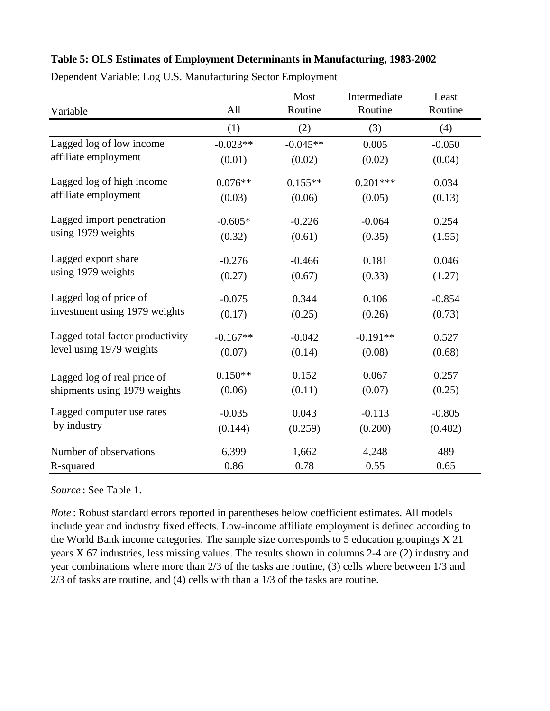# **Table 5: OLS Estimates of Employment Determinants in Manufacturing, 1983-2002**

| Variable                         | All        | Most<br>Routine | Intermediate<br>Routine | Least<br>Routine |
|----------------------------------|------------|-----------------|-------------------------|------------------|
|                                  | (1)        | (2)             | (3)                     | (4)              |
| Lagged log of low income         | $-0.023**$ | $-0.045**$      | 0.005                   | $-0.050$         |
| affiliate employment             | (0.01)     | (0.02)          | (0.02)                  | (0.04)           |
| Lagged log of high income        | $0.076**$  | $0.155**$       | $0.201***$              | 0.034            |
| affiliate employment             | (0.03)     | (0.06)          | (0.05)                  | (0.13)           |
| Lagged import penetration        | $-0.605*$  | $-0.226$        | $-0.064$                | 0.254            |
| using 1979 weights               | (0.32)     | (0.61)          | (0.35)                  | (1.55)           |
| Lagged export share              | $-0.276$   | $-0.466$        | 0.181                   | 0.046            |
| using 1979 weights               | (0.27)     | (0.67)          | (0.33)                  | (1.27)           |
| Lagged log of price of           | $-0.075$   | 0.344           | 0.106                   | $-0.854$         |
| investment using 1979 weights    | (0.17)     | (0.25)          | (0.26)                  | (0.73)           |
| Lagged total factor productivity | $-0.167**$ | $-0.042$        | $-0.191**$              | 0.527            |
| level using 1979 weights         | (0.07)     | (0.14)          | (0.08)                  | (0.68)           |
| Lagged log of real price of      | $0.150**$  | 0.152           | 0.067                   | 0.257            |
| shipments using 1979 weights     | (0.06)     | (0.11)          | (0.07)                  | (0.25)           |
| Lagged computer use rates        | $-0.035$   | 0.043           | $-0.113$                | $-0.805$         |
| by industry                      | (0.144)    | (0.259)         | (0.200)                 | (0.482)          |
| Number of observations           | 6,399      | 1,662           | 4,248                   | 489              |
| R-squared                        | 0.86       | 0.78            | 0.55                    | 0.65             |

Dependent Variable: Log U.S. Manufacturing Sector Employment

*Source* : See Table 1.

*Note* : Robust standard errors reported in parentheses below coefficient estimates. All models include year and industry fixed effects. Low-income affiliate employment is defined according to the World Bank income categories. The sample size corresponds to 5 education groupings X 21 years X 67 industries, less missing values. The results shown in columns 2-4 are (2) industry and year combinations where more than 2/3 of the tasks are routine, (3) cells where between 1/3 and 2/3 of tasks are routine, and (4) cells with than a 1/3 of the tasks are routine.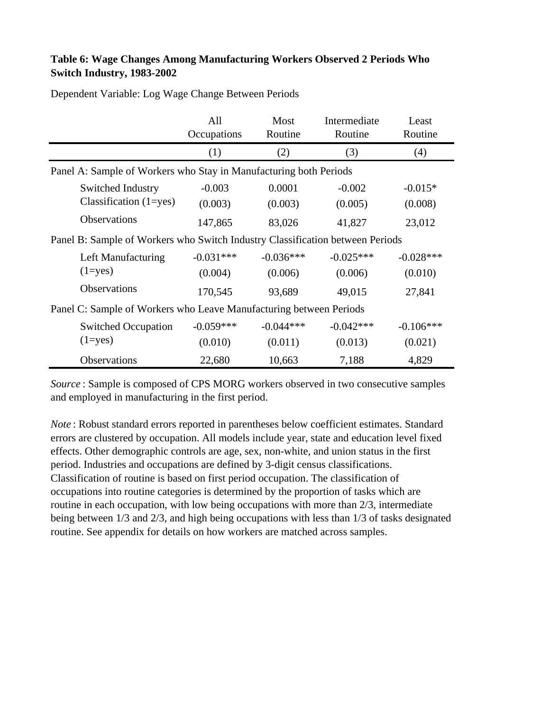# **Table 6: Wage Changes Among Manufacturing Workers Observed 2 Periods Who Switch Industry, 1983-2002**

|                                                                                                                                        | All<br>Occupations     | Most<br>Routine        | Intermediate<br>Routine | Least<br>Routine       |  |  |  |  |  |  |  |
|----------------------------------------------------------------------------------------------------------------------------------------|------------------------|------------------------|-------------------------|------------------------|--|--|--|--|--|--|--|
|                                                                                                                                        | (1)                    | (2)                    | (3)                     | (4)                    |  |  |  |  |  |  |  |
| Panel A: Sample of Workers who Stay in Manufacturing both Periods                                                                      |                        |                        |                         |                        |  |  |  |  |  |  |  |
| Switched Industry<br>Classification $(1 = yes)$                                                                                        | $-0.003$<br>(0.003)    | 0.0001<br>(0.003)      | $-0.002$<br>(0.005)     | $-0.015*$<br>(0.008)   |  |  |  |  |  |  |  |
| Observations<br>147,865<br>23,012<br>83,026<br>41,827<br>Panel B: Sample of Workers who Switch Industry Classification between Periods |                        |                        |                         |                        |  |  |  |  |  |  |  |
| Left Manufacturing<br>$(1 = yes)$                                                                                                      | $-0.031***$<br>(0.004) | $-0.036***$<br>(0.006) | $-0.025***$<br>(0.006)  | $-0.028***$<br>(0.010) |  |  |  |  |  |  |  |
| <b>Observations</b>                                                                                                                    | 170,545                | 93,689                 | 49,015                  | 27,841                 |  |  |  |  |  |  |  |
| Panel C: Sample of Workers who Leave Manufacturing between Periods                                                                     |                        |                        |                         |                        |  |  |  |  |  |  |  |
| <b>Switched Occupation</b><br>$(1 = yes)$                                                                                              | $-0.059***$<br>(0.010) | $-0.044***$<br>(0.011) | $-0.042***$<br>(0.013)  | $-0.106***$<br>(0.021) |  |  |  |  |  |  |  |
| Observations                                                                                                                           | 22,680                 | 10,663                 | 7,188                   | 4,829                  |  |  |  |  |  |  |  |

Dependent Variable: Log Wage Change Between Periods

*Source* : Sample is composed of CPS MORG workers observed in two consecutive samples and employed in manufacturing in the first period.

*Note* : Robust standard errors reported in parentheses below coefficient estimates. Standard errors are clustered by occupation. All models include year, state and education level fixed effects. Other demographic controls are age, sex, non-white, and union status in the first period. Industries and occupations are defined by 3-digit census classifications. Classification of routine is based on first period occupation. The classification of occupations into routine categories is determined by the proportion of tasks which are routine in each occupation, with low being occupations with more than 2/3, intermediate being between 1/3 and 2/3, and high being occupations with less than 1/3 of tasks designated routine. See appendix for details on how workers are matched across samples.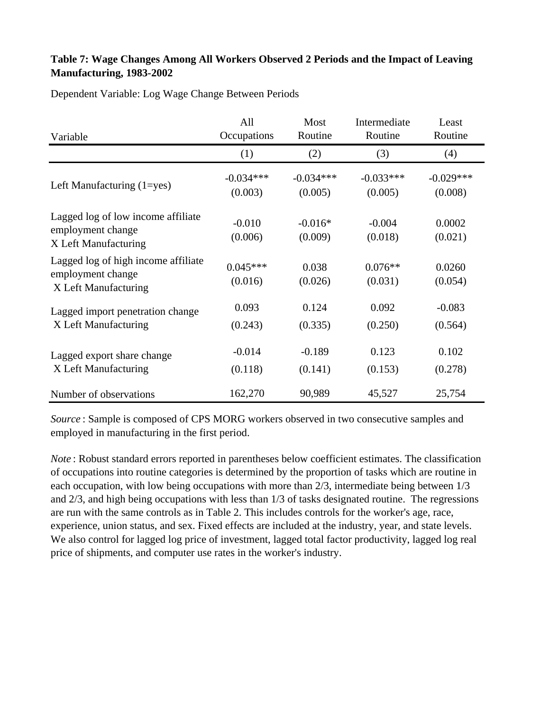# **Table 7: Wage Changes Among All Workers Observed 2 Periods and the Impact of Leaving Manufacturing, 1983-2002**

Dependent Variable: Log Wage Change Between Periods

| Variable                                                                         | All                   | Most                 | Intermediate         | Least             |
|----------------------------------------------------------------------------------|-----------------------|----------------------|----------------------|-------------------|
|                                                                                  | Occupations           | Routine              | Routine              | Routine           |
|                                                                                  | (1)                   | (2)                  | (3)                  | (4)               |
| Left Manufacturing $(1 = yes)$                                                   | $-0.034***$           | $-0.034***$          | $-0.033***$          | $-0.029***$       |
|                                                                                  | (0.003)               | (0.005)              | (0.005)              | (0.008)           |
| Lagged log of low income affiliate<br>employment change<br>X Left Manufacturing  | $-0.010$<br>(0.006)   | $-0.016*$<br>(0.009) | $-0.004$<br>(0.018)  | 0.0002<br>(0.021) |
| Lagged log of high income affiliate<br>employment change<br>X Left Manufacturing | $0.045***$<br>(0.016) | 0.038<br>(0.026)     | $0.076**$<br>(0.031) | 0.0260<br>(0.054) |
| Lagged import penetration change                                                 | 0.093                 | 0.124                | 0.092                | $-0.083$          |
| X Left Manufacturing                                                             | (0.243)               | (0.335)              | (0.250)              | (0.564)           |
| Lagged export share change                                                       | $-0.014$              | $-0.189$             | 0.123                | 0.102             |
| X Left Manufacturing                                                             | (0.118)               | (0.141)              | (0.153)              | (0.278)           |
| Number of observations                                                           | 162,270               | 90,989               | 45,527               | 25,754            |

*Source* : Sample is composed of CPS MORG workers observed in two consecutive samples and employed in manufacturing in the first period.

*Note* : Robust standard errors reported in parentheses below coefficient estimates. The classification of occupations into routine categories is determined by the proportion of tasks which are routine in each occupation, with low being occupations with more than 2/3, intermediate being between 1/3 and 2/3, and high being occupations with less than 1/3 of tasks designated routine. The regressions are run with the same controls as in Table 2. This includes controls for the worker's age, race, experience, union status, and sex. Fixed effects are included at the industry, year, and state levels. We also control for lagged log price of investment, lagged total factor productivity, lagged log real price of shipments, and computer use rates in the worker's industry.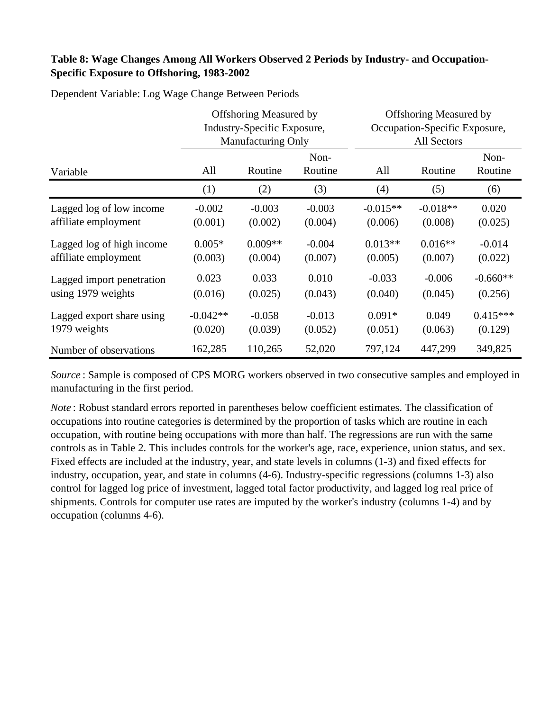# **Table 8: Wage Changes Among All Workers Observed 2 Periods by Industry- and Occupation-Specific Exposure to Offshoring, 1983-2002**

|                           |            | <b>Offshoring Measured by</b><br>Industry-Specific Exposure,<br><b>Manufacturing Only</b> |                 | <b>Offshoring Measured by</b><br>Occupation-Specific Exposure,<br>All Sectors |            |                 |  |  |
|---------------------------|------------|-------------------------------------------------------------------------------------------|-----------------|-------------------------------------------------------------------------------|------------|-----------------|--|--|
| Variable                  | All        | Routine                                                                                   | Non-<br>Routine | All                                                                           | Routine    | Non-<br>Routine |  |  |
|                           | (1)        | (2)                                                                                       | (3)             | (4)                                                                           | (5)        | (6)             |  |  |
| Lagged log of low income  | $-0.002$   | $-0.003$                                                                                  | $-0.003$        | $-0.015**$                                                                    | $-0.018**$ | 0.020           |  |  |
| affiliate employment      | (0.001)    | (0.002)                                                                                   | (0.004)         | (0.006)                                                                       | (0.008)    | (0.025)         |  |  |
| Lagged log of high income | $0.005*$   | $0.009**$                                                                                 | $-0.004$        | $0.013**$                                                                     | $0.016**$  | $-0.014$        |  |  |
| affiliate employment      | (0.003)    | (0.004)                                                                                   | (0.007)         | (0.005)                                                                       | (0.007)    | (0.022)         |  |  |
| Lagged import penetration | 0.023      | 0.033                                                                                     | 0.010           | $-0.033$                                                                      | $-0.006$   | $-0.660**$      |  |  |
| using 1979 weights        | (0.016)    | (0.025)                                                                                   | (0.043)         | (0.040)                                                                       | (0.045)    | (0.256)         |  |  |
| Lagged export share using | $-0.042**$ | $-0.058$                                                                                  | $-0.013$        | $0.091*$                                                                      | 0.049      | $0.415***$      |  |  |
| 1979 weights              | (0.020)    | (0.039)                                                                                   | (0.052)         | (0.051)                                                                       | (0.063)    | (0.129)         |  |  |
| Number of observations    | 162,285    | 110,265                                                                                   | 52,020          | 797,124                                                                       | 447,299    | 349,825         |  |  |

Dependent Variable: Log Wage Change Between Periods

*Source* : Sample is composed of CPS MORG workers observed in two consecutive samples and employed in manufacturing in the first period.

*Note* : Robust standard errors reported in parentheses below coefficient estimates. The classification of occupations into routine categories is determined by the proportion of tasks which are routine in each occupation, with routine being occupations with more than half. The regressions are run with the same controls as in Table 2. This includes controls for the worker's age, race, experience, union status, and sex. Fixed effects are included at the industry, year, and state levels in columns (1-3) and fixed effects for industry, occupation, year, and state in columns (4-6). Industry-specific regressions (columns 1-3) also control for lagged log price of investment, lagged total factor productivity, and lagged log real price of shipments. Controls for computer use rates are imputed by the worker's industry (columns 1-4) and by occupation (columns 4-6).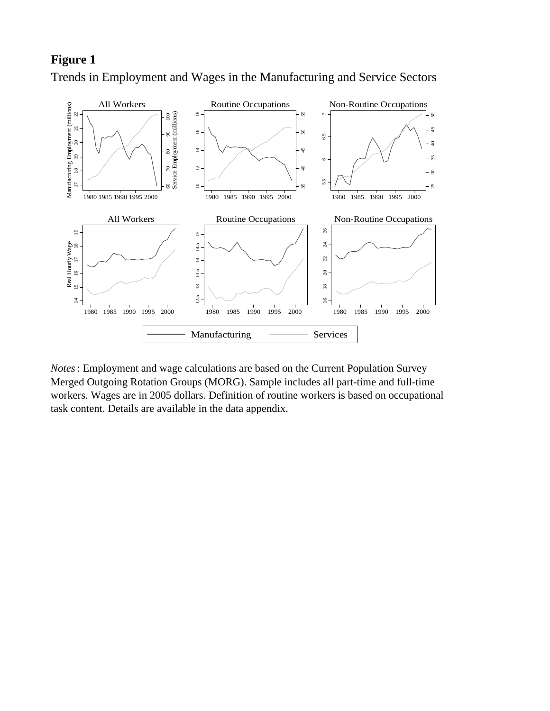Trends in Employment and Wages in the Manufacturing and Service Sectors



*Notes*: Employment and wage calculations are based on the Current Population Survey Merged Outgoing Rotation Groups (MORG). Sample includes all part-time and full-time workers. Wages are in 2005 dollars. Definition of routine workers is based on occupational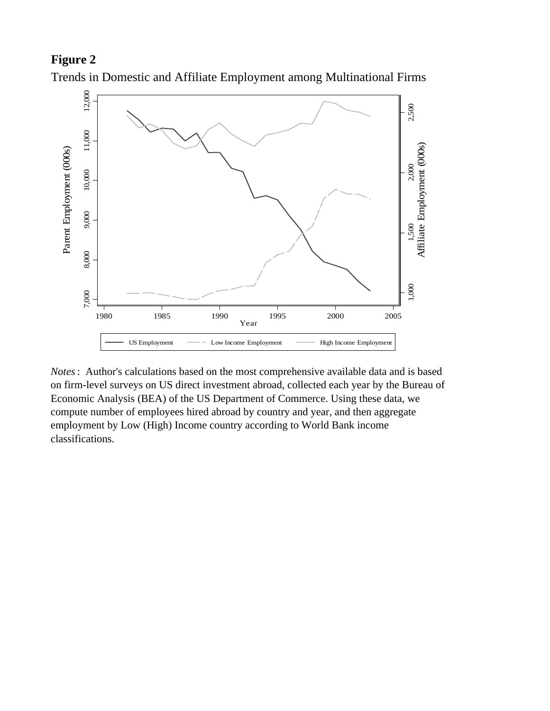

Trends in Domestic and Affiliate Employment among Multinational Firms

*Notes*: Author's calculations based on the most comprehensive available data and is based on firm-level surveys on US direct investment abroad, collected each year by the Bureau of Economic Analysis (BEA) of the US Department of Commerce. Using these data, we compute number of employees hired abroad by country and year, and then aggregate employment by Low (High) Income country according to World Bank income classifications.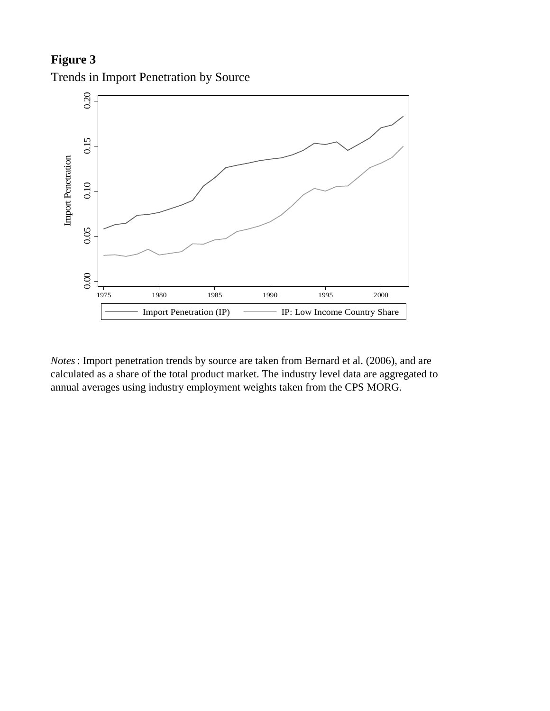

Trends in Import Penetration by Source

*Notes*: Import penetration trends by source are taken from Bernard et al. (2006), and are calculated as a share of the total product market. The industry level data are aggregated to

1975 1980 1985 1990 1995 2000

Import Penetration (IP)  $\longrightarrow$  IP: Low Income Country Share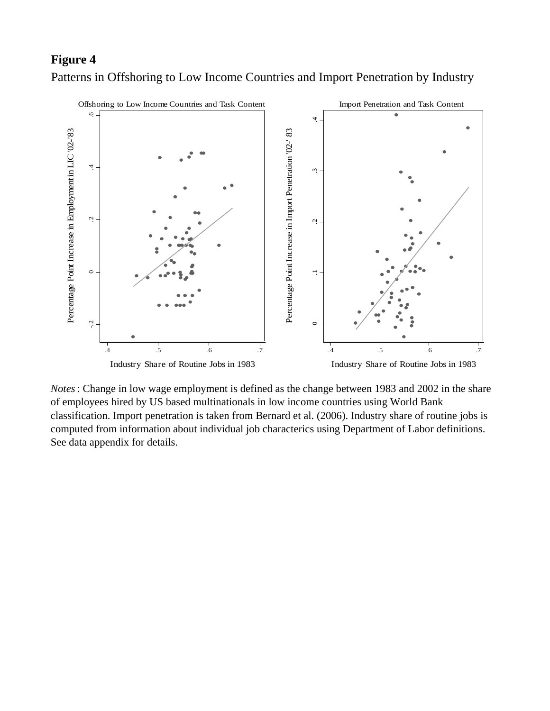Patterns in Offshoring to Low Income Countries and Import Penetration by Industry



*Notes*: Change in low wage employment is defined as the change between 1983 and 2002 in the share of employees hired by US based multinationals in low income countries using World Bank classification. Import penetration is taken from Bernard et al. (2006). Industry share of routine jobs is computed from information about individual job characterics using Department of Labor definitions.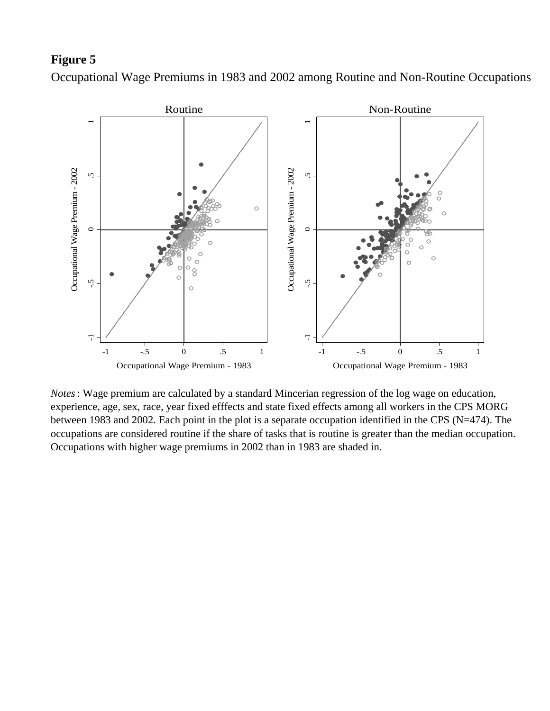Occupational Wage Premiums in 1983 and 2002 among Routine and Non-Routine Occupations



*Notes*: Wage premium are calculated by a standard Mincerian regression of the log wage on education, experience, age, sex, race, year fixed efffects and state fixed effects among all workers in the CPS MORG between 1983 and 2002. Each point in the plot is a separate occupation identified in the CPS (N=474). The occupations are considered routine if the share of tasks that is routine is greater than the median occupation.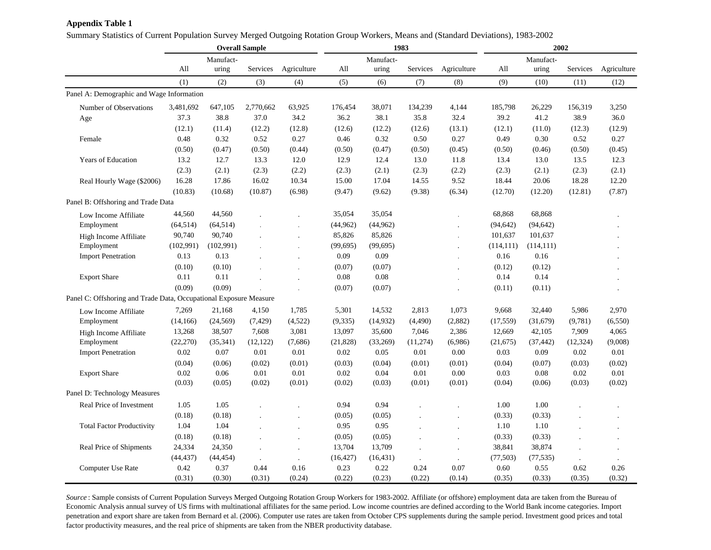## **Appendix Table 1**

Summary Statistics of Current Population Survey Merged Outgoing Rotation Group Workers, Means and (Standard Deviations), 1983-2002

|                                                                   |            |           | <b>Overall Sample</b> |                      | 1983      |           |           | 2002                 |            |            |           |             |
|-------------------------------------------------------------------|------------|-----------|-----------------------|----------------------|-----------|-----------|-----------|----------------------|------------|------------|-----------|-------------|
|                                                                   |            | Manufact- |                       |                      |           | Manufact- |           |                      |            | Manufact-  |           |             |
|                                                                   | All        | uring     | Services              | Agriculture          | All       | uring     | Services  | Agriculture          | All        | uring      | Services  | Agriculture |
|                                                                   | (1)        | (2)       | (3)                   | (4)                  | (5)       | (6)       | (7)       | (8)                  | (9)        | (10)       | (11)      | (12)        |
| Panel A: Demographic and Wage Information                         |            |           |                       |                      |           |           |           |                      |            |            |           |             |
| Number of Observations                                            | 3,481,692  | 647,105   | 2,770,662             | 63,925               | 176,454   | 38,071    | 134,239   | 4,144                | 185,798    | 26,229     | 156,319   | 3,250       |
| Age                                                               | 37.3       | 38.8      | 37.0                  | 34.2                 | 36.2      | 38.1      | 35.8      | 32.4                 | 39.2       | 41.2       | 38.9      | 36.0        |
|                                                                   | (12.1)     | (11.4)    | (12.2)                | (12.8)               | (12.6)    | (12.2)    | (12.6)    | (13.1)               | (12.1)     | (11.0)     | (12.3)    | (12.9)      |
| Female                                                            | 0.48       | 0.32      | 0.52                  | 0.27                 | 0.46      | 0.32      | 0.50      | 0.27                 | 0.49       | 0.30       | 0.52      | 0.27        |
|                                                                   | (0.50)     | (0.47)    | (0.50)                | (0.44)               | (0.50)    | (0.47)    | (0.50)    | (0.45)               | (0.50)     | (0.46)     | (0.50)    | (0.45)      |
| Years of Education                                                | 13.2       | 12.7      | 13.3                  | 12.0                 | 12.9      | 12.4      | 13.0      | 11.8                 | 13.4       | 13.0       | 13.5      | 12.3        |
|                                                                   | (2.3)      | (2.1)     | (2.3)                 | (2.2)                | (2.3)     | (2.1)     | (2.3)     | (2.2)                | (2.3)      | (2.1)      | (2.3)     | (2.1)       |
| Real Hourly Wage (\$2006)                                         | 16.28      | 17.86     | 16.02                 | 10.34                | 15.00     | 17.04     | 14.55     | 9.52                 | 18.44      | 20.06      | 18.28     | 12.20       |
|                                                                   | (10.83)    | (10.68)   | (10.87)               | (6.98)               | (9.47)    | (9.62)    | (9.38)    | (6.34)               | (12.70)    | (12.20)    | (12.81)   | (7.87)      |
| Panel B: Offshoring and Trade Data                                |            |           |                       |                      |           |           |           |                      |            |            |           |             |
| Low Income Affiliate                                              | 44,560     | 44,560    |                       |                      | 35,054    | 35,054    |           |                      | 68,868     | 68,868     |           |             |
| Employment                                                        | (64, 514)  | (64, 514) |                       |                      | (44, 962) | (44, 962) |           |                      | (94, 642)  | (94, 642)  |           |             |
| High Income Affiliate                                             | 90,740     | 90,740    |                       | $\overline{a}$       | 85,826    | 85,826    |           |                      | 101,637    | 101,637    |           |             |
| Employment                                                        | (102, 991) | (102,991) |                       |                      | (99, 695) | (99, 695) |           |                      | (114, 111) | (114, 111) |           |             |
| <b>Import Penetration</b>                                         | 0.13       | 0.13      |                       | $\overline{a}$       | 0.09      | 0.09      |           | $\overline{a}$       | 0.16       | 0.16       |           |             |
|                                                                   | (0.10)     | (0.10)    |                       | ÷.                   | (0.07)    | (0.07)    |           | $\cdot$              | (0.12)     | (0.12)     |           |             |
| <b>Export Share</b>                                               | 0.11       | 0.11      |                       | $\overline{a}$       | 0.08      | 0.08      |           |                      | 0.14       | 0.14       |           |             |
|                                                                   | (0.09)     | (0.09)    |                       | ÷,                   | (0.07)    | (0.07)    |           |                      | (0.11)     | (0.11)     |           |             |
| Panel C: Offshoring and Trade Data, Occupational Exposure Measure |            |           |                       |                      |           |           |           |                      |            |            |           |             |
| Low Income Affiliate                                              | 7,269      | 21,168    | 4,150                 | 1,785                | 5,301     | 14,532    | 2,813     | 1,073                | 9,668      | 32,440     | 5,986     | 2,970       |
| Employment                                                        | (14, 166)  | (24, 569) | (7, 429)              | (4,522)              | (9, 335)  | (14, 932) | (4,490)   | (2,882)              | (17, 559)  | (31,679)   | (9,781)   | (6,550)     |
| High Income Affiliate                                             | 13,268     | 38,507    | 7,608                 | 3,081                | 13,097    | 35,600    | 7,046     | 2,386                | 12,669     | 42,105     | 7,909     | 4,065       |
| Employment                                                        | (22, 270)  | (35, 341) | (12, 122)             | (7,686)              | (21, 828) | (33,269)  | (11, 274) | (6,986)              | (21, 675)  | (37, 442)  | (12, 324) | (9,008)     |
| <b>Import Penetration</b>                                         | 0.02       | 0.07      | 0.01                  | 0.01                 | 0.02      | 0.05      | 0.01      | 0.00                 | 0.03       | 0.09       | 0.02      | 0.01        |
|                                                                   | (0.04)     | (0.06)    | (0.02)                | (0.01)               | (0.03)    | (0.04)    | (0.01)    | (0.01)               | (0.04)     | (0.07)     | (0.03)    | (0.02)      |
| <b>Export Share</b>                                               | 0.02       | 0.06      | 0.01                  | 0.01                 | 0.02      | 0.04      | $0.01\,$  | 0.00                 | 0.03       | 0.08       | 0.02      | $0.01\,$    |
|                                                                   | (0.03)     | (0.05)    | (0.02)                | (0.01)               | (0.02)    | (0.03)    | (0.01)    | (0.01)               | (0.04)     | (0.06)     | (0.03)    | (0.02)      |
| Panel D: Technology Measures                                      |            |           |                       |                      |           |           |           |                      |            |            |           |             |
| Real Price of Investment                                          | 1.05       | 1.05      |                       |                      | 0.94      | 0.94      |           |                      | 1.00       | 1.00       |           |             |
|                                                                   | (0.18)     | (0.18)    |                       | $\ddot{\phantom{a}}$ | (0.05)    | (0.05)    |           | $\cdot$              | (0.33)     | (0.33)     |           |             |
| <b>Total Factor Productivity</b>                                  | 1.04       | 1.04      |                       | $\cdot$              | 0.95      | 0.95      |           | $\cdot$              | 1.10       | 1.10       |           |             |
|                                                                   | (0.18)     | (0.18)    |                       | $\cdot$              | (0.05)    | (0.05)    | $\cdot$   | $\cdot$              | (0.33)     | (0.33)     |           |             |
| Real Price of Shipments                                           | 24,334     | 24,350    | $\ddot{\phantom{a}}$  | $\cdot$              | 13,704    | 13,709    | $\cdot$   | $\cdot$              | 38,841     | 38,874     |           |             |
|                                                                   | (44, 437)  | (44, 454) |                       | $\ddot{\phantom{0}}$ | (16, 427) | (16, 431) | $\cdot$   | $\ddot{\phantom{a}}$ | (77, 503)  | (77, 535)  |           |             |
| Computer Use Rate                                                 | 0.42       | 0.37      | 0.44                  | 0.16                 | 0.23      | 0.22      | 0.24      | 0.07                 | 0.60       | 0.55       | 0.62      | 0.26        |
|                                                                   | (0.31)     | (0.30)    | (0.31)                | (0.24)               | (0.22)    | (0.23)    | (0.22)    | (0.14)               | (0.35)     | (0.33)     | (0.35)    | (0.32)      |

*Source* : Sample consists of Current Population Surveys Merged Outgoing Rotation Group Workers for 1983-2002. Affiliate (or offshore) employment data are taken from the Bureau of Economic Analysis annual survey of US firms with multinational affiliates for the same period. Low income countries are defined according to the World Bank income categories. Import penetration and export share are taken from Bernard et al. (2006). Computer use rates are taken from October CPS supplements during the sample period. Investment good prices and total factor productivity measures, and the real price of shipments are taken from the NBER productivity database.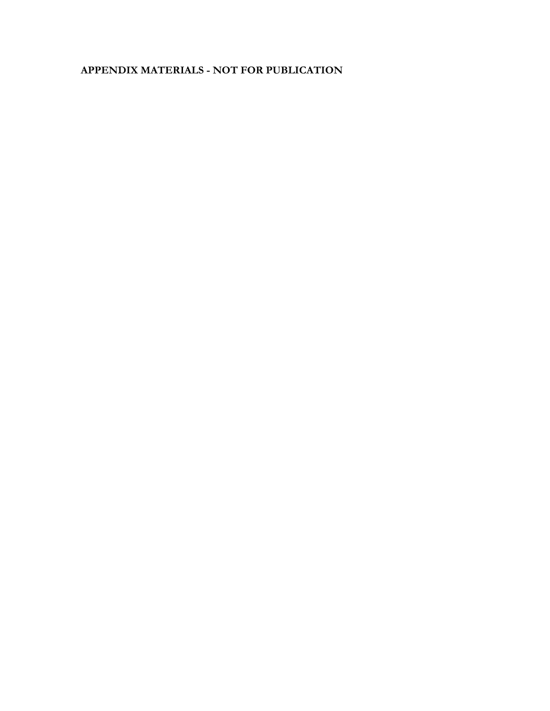# **APPENDIX MATERIALS - NOT FOR PUBLICATION**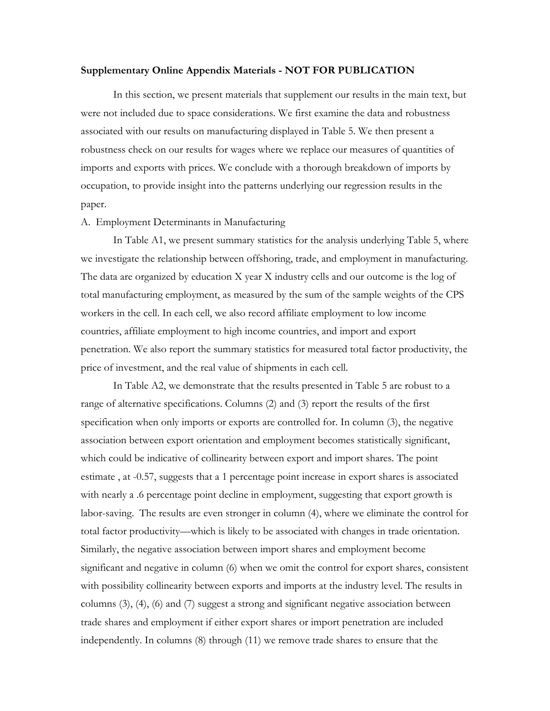### **Supplementary Online Appendix Materials - NOT FOR PUBLICATION**

In this section, we present materials that supplement our results in the main text, but were not included due to space considerations. We first examine the data and robustness associated with our results on manufacturing displayed in Table 5. We then present a robustness check on our results for wages where we replace our measures of quantities of imports and exports with prices. We conclude with a thorough breakdown of imports by occupation, to provide insight into the patterns underlying our regression results in the paper.

### A. Employment Determinants in Manufacturing

In Table A1, we present summary statistics for the analysis underlying Table 5, where we investigate the relationship between offshoring, trade, and employment in manufacturing. The data are organized by education X year X industry cells and our outcome is the log of total manufacturing employment, as measured by the sum of the sample weights of the CPS workers in the cell. In each cell, we also record affiliate employment to low income countries, affiliate employment to high income countries, and import and export penetration. We also report the summary statistics for measured total factor productivity, the price of investment, and the real value of shipments in each cell.

In Table A2, we demonstrate that the results presented in Table 5 are robust to a range of alternative specifications. Columns (2) and (3) report the results of the first specification when only imports or exports are controlled for. In column (3), the negative association between export orientation and employment becomes statistically significant, which could be indicative of collinearity between export and import shares. The point estimate , at -0.57, suggests that a 1 percentage point increase in export shares is associated with nearly a .6 percentage point decline in employment, suggesting that export growth is labor-saving. The results are even stronger in column (4), where we eliminate the control for total factor productivity—which is likely to be associated with changes in trade orientation. Similarly, the negative association between import shares and employment become significant and negative in column (6) when we omit the control for export shares, consistent with possibility collinearity between exports and imports at the industry level. The results in columns (3), (4), (6) and (7) suggest a strong and significant negative association between trade shares and employment if either export shares or import penetration are included independently. In columns (8) through (11) we remove trade shares to ensure that the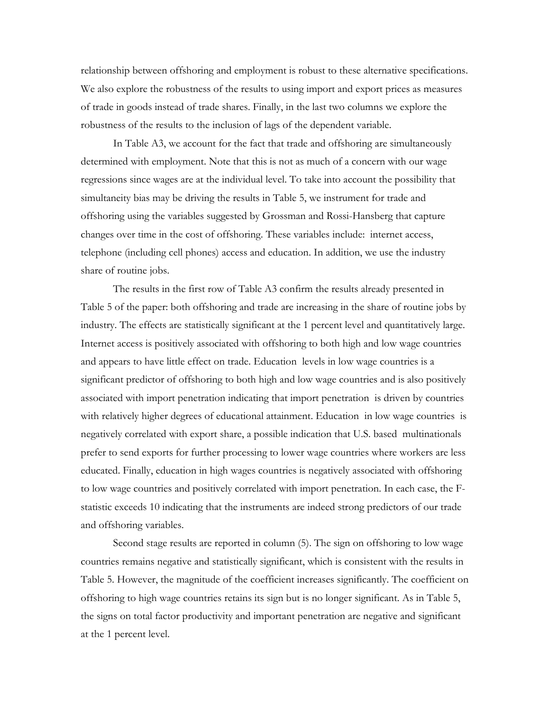relationship between offshoring and employment is robust to these alternative specifications. We also explore the robustness of the results to using import and export prices as measures of trade in goods instead of trade shares. Finally, in the last two columns we explore the robustness of the results to the inclusion of lags of the dependent variable.

 In Table A3, we account for the fact that trade and offshoring are simultaneously determined with employment. Note that this is not as much of a concern with our wage regressions since wages are at the individual level. To take into account the possibility that simultaneity bias may be driving the results in Table 5, we instrument for trade and offshoring using the variables suggested by Grossman and Rossi-Hansberg that capture changes over time in the cost of offshoring. These variables include: internet access, telephone (including cell phones) access and education. In addition, we use the industry share of routine jobs.

 The results in the first row of Table A3 confirm the results already presented in Table 5 of the paper: both offshoring and trade are increasing in the share of routine jobs by industry. The effects are statistically significant at the 1 percent level and quantitatively large. Internet access is positively associated with offshoring to both high and low wage countries and appears to have little effect on trade. Education levels in low wage countries is a significant predictor of offshoring to both high and low wage countries and is also positively associated with import penetration indicating that import penetration is driven by countries with relatively higher degrees of educational attainment. Education in low wage countries is negatively correlated with export share, a possible indication that U.S. based multinationals prefer to send exports for further processing to lower wage countries where workers are less educated. Finally, education in high wages countries is negatively associated with offshoring to low wage countries and positively correlated with import penetration. In each case, the Fstatistic exceeds 10 indicating that the instruments are indeed strong predictors of our trade and offshoring variables.

 Second stage results are reported in column (5). The sign on offshoring to low wage countries remains negative and statistically significant, which is consistent with the results in Table 5. However, the magnitude of the coefficient increases significantly. The coefficient on offshoring to high wage countries retains its sign but is no longer significant. As in Table 5, the signs on total factor productivity and important penetration are negative and significant at the 1 percent level.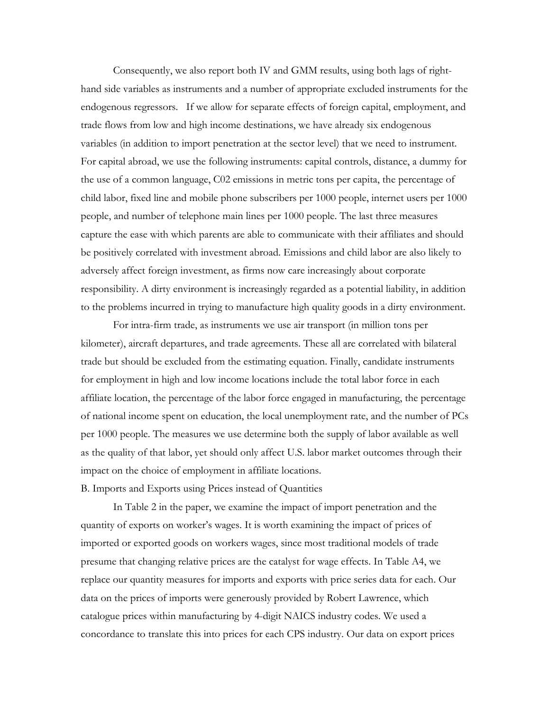Consequently, we also report both IV and GMM results, using both lags of righthand side variables as instruments and a number of appropriate excluded instruments for the endogenous regressors. If we allow for separate effects of foreign capital, employment, and trade flows from low and high income destinations, we have already six endogenous variables (in addition to import penetration at the sector level) that we need to instrument. For capital abroad, we use the following instruments: capital controls, distance, a dummy for the use of a common language, C02 emissions in metric tons per capita, the percentage of child labor, fixed line and mobile phone subscribers per 1000 people, internet users per 1000 people, and number of telephone main lines per 1000 people. The last three measures capture the ease with which parents are able to communicate with their affiliates and should be positively correlated with investment abroad. Emissions and child labor are also likely to adversely affect foreign investment, as firms now care increasingly about corporate responsibility. A dirty environment is increasingly regarded as a potential liability, in addition to the problems incurred in trying to manufacture high quality goods in a dirty environment.

 For intra-firm trade, as instruments we use air transport (in million tons per kilometer), aircraft departures, and trade agreements. These all are correlated with bilateral trade but should be excluded from the estimating equation. Finally, candidate instruments for employment in high and low income locations include the total labor force in each affiliate location, the percentage of the labor force engaged in manufacturing, the percentage of national income spent on education, the local unemployment rate, and the number of PCs per 1000 people. The measures we use determine both the supply of labor available as well as the quality of that labor, yet should only affect U.S. labor market outcomes through their impact on the choice of employment in affiliate locations.

B. Imports and Exports using Prices instead of Quantities

 In Table 2 in the paper, we examine the impact of import penetration and the quantity of exports on worker's wages. It is worth examining the impact of prices of imported or exported goods on workers wages, since most traditional models of trade presume that changing relative prices are the catalyst for wage effects. In Table A4, we replace our quantity measures for imports and exports with price series data for each. Our data on the prices of imports were generously provided by Robert Lawrence, which catalogue prices within manufacturing by 4-digit NAICS industry codes. We used a concordance to translate this into prices for each CPS industry. Our data on export prices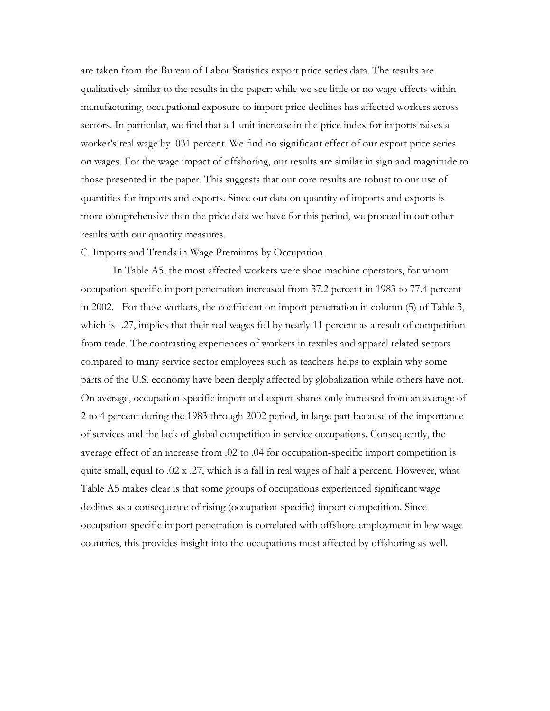are taken from the Bureau of Labor Statistics export price series data. The results are qualitatively similar to the results in the paper: while we see little or no wage effects within manufacturing, occupational exposure to import price declines has affected workers across sectors. In particular, we find that a 1 unit increase in the price index for imports raises a worker's real wage by .031 percent. We find no significant effect of our export price series on wages. For the wage impact of offshoring, our results are similar in sign and magnitude to those presented in the paper. This suggests that our core results are robust to our use of quantities for imports and exports. Since our data on quantity of imports and exports is more comprehensive than the price data we have for this period, we proceed in our other results with our quantity measures.

### C. Imports and Trends in Wage Premiums by Occupation

In Table A5, the most affected workers were shoe machine operators, for whom occupation-specific import penetration increased from 37.2 percent in 1983 to 77.4 percent in 2002. For these workers, the coefficient on import penetration in column (5) of Table 3, which is -.27, implies that their real wages fell by nearly 11 percent as a result of competition from trade. The contrasting experiences of workers in textiles and apparel related sectors compared to many service sector employees such as teachers helps to explain why some parts of the U.S. economy have been deeply affected by globalization while others have not. On average, occupation-specific import and export shares only increased from an average of 2 to 4 percent during the 1983 through 2002 period, in large part because of the importance of services and the lack of global competition in service occupations. Consequently, the average effect of an increase from .02 to .04 for occupation-specific import competition is quite small, equal to .02 x .27, which is a fall in real wages of half a percent. However, what Table A5 makes clear is that some groups of occupations experienced significant wage declines as a consequence of rising (occupation-specific) import competition. Since occupation-specific import penetration is correlated with offshore employment in low wage countries, this provides insight into the occupations most affected by offshoring as well.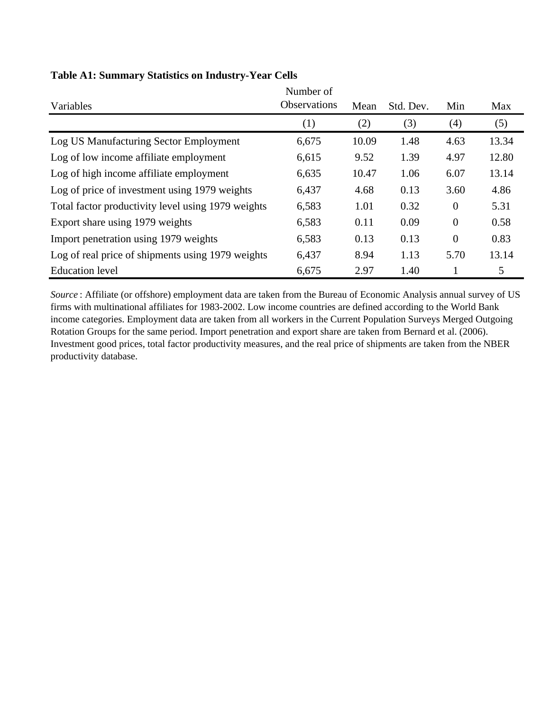|                                                    | Number of           |       |           |          |       |
|----------------------------------------------------|---------------------|-------|-----------|----------|-------|
| Variables                                          | <b>Observations</b> | Mean  | Std. Dev. | Min      | Max   |
|                                                    | (1)                 | (2)   | (3)       | (4)      | (5)   |
| Log US Manufacturing Sector Employment             | 6,675               | 10.09 | 1.48      | 4.63     | 13.34 |
| Log of low income affiliate employment             | 6,615               | 9.52  | 1.39      | 4.97     | 12.80 |
| Log of high income affiliate employment            | 6,635               | 10.47 | 1.06      | 6.07     | 13.14 |
| Log of price of investment using 1979 weights      | 6,437               | 4.68  | 0.13      | 3.60     | 4.86  |
| Total factor productivity level using 1979 weights | 6,583               | 1.01  | 0.32      | $\theta$ | 5.31  |
| Export share using 1979 weights                    | 6,583               | 0.11  | 0.09      | $\theta$ | 0.58  |
| Import penetration using 1979 weights              | 6,583               | 0.13  | 0.13      | $\theta$ | 0.83  |
| Log of real price of shipments using 1979 weights  | 6,437               | 8.94  | 1.13      | 5.70     | 13.14 |
| <b>Education</b> level                             | 6,675               | 2.97  | 1.40      | 1        | 5     |

## **Table A1: Summary Statistics on Industry-Year Cells**

*Source* : Affiliate (or offshore) employment data are taken from the Bureau of Economic Analysis annual survey of US firms with multinational affiliates for 1983-2002. Low income countries are defined according to the World Bank income categories. Employment data are taken from all workers in the Current Population Surveys Merged Outgoing Rotation Groups for the same period. Import penetration and export share are taken from Bernard et al. (2006). Investment good prices, total factor productivity measures, and the real price of shipments are taken from the NBER productivity database.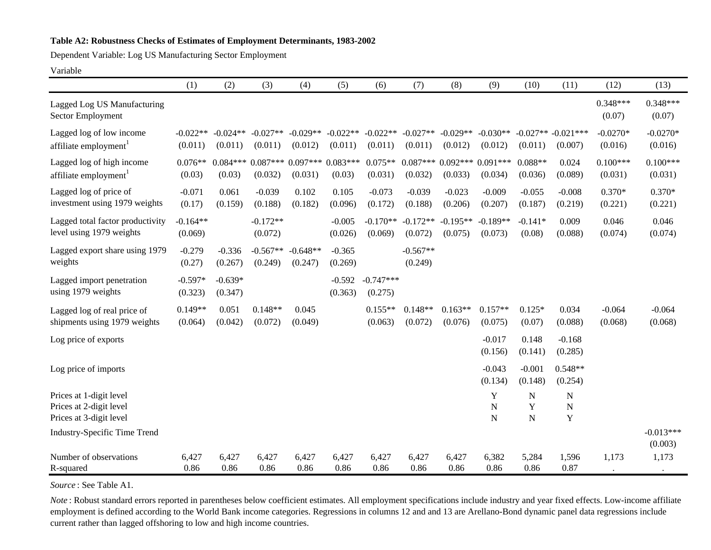### **Table A2: Robustness Checks of Estimates of Employment Determinants, 1983-2002**

Dependent Variable: Log US Manufacturing Sector Employment

#### Variable

|                                                                               | (1)                   | (2)                   | (3)                           | (4)                   | (5)                   | (6)                    | (7)                           | (8)                   | (9)                             | (10)                        | (11)                            | (12)                  | (13)                   |
|-------------------------------------------------------------------------------|-----------------------|-----------------------|-------------------------------|-----------------------|-----------------------|------------------------|-------------------------------|-----------------------|---------------------------------|-----------------------------|---------------------------------|-----------------------|------------------------|
| Lagged Log US Manufacturing<br>Sector Employment                              |                       |                       |                               |                       |                       |                        |                               |                       |                                 |                             |                                 | $0.348***$<br>(0.07)  | $0.348***$<br>(0.07)   |
| Lagged log of low income<br>affiliate employment                              | $-0.022**$<br>(0.011) | $-0.024**$<br>(0.011) | $-0.027**$<br>(0.011)         | $-0.029**$<br>(0.012) | $-0.022**$<br>(0.011) | $-0.022**$<br>(0.011)  | $-0.027**$<br>(0.011)         | $-0.029**$<br>(0.012) | $-0.030**$<br>(0.012)           | $-0.027**$<br>(0.011)       | $-0.021***$<br>(0.007)          | $-0.0270*$<br>(0.016) | $-0.0270*$<br>(0.016)  |
| Lagged log of high income<br>affiliate employment                             | $0.076**$<br>(0.03)   | $0.084***$<br>(0.03)  | $0.087***0.097***$<br>(0.032) | (0.031)               | $0.083***$<br>(0.03)  | $0.075**$<br>(0.031)   | $0.087***0.092***$<br>(0.032) | (0.033)               | $0.091***$<br>(0.034)           | $0.088**$<br>(0.036)        | 0.024<br>(0.089)                | $0.100***$<br>(0.031) | $0.100***$<br>(0.031)  |
| Lagged log of price of<br>investment using 1979 weights                       | $-0.071$<br>(0.17)    | 0.061<br>(0.159)      | $-0.039$<br>(0.188)           | 0.102<br>(0.182)      | 0.105<br>(0.096)      | $-0.073$<br>(0.172)    | $-0.039$<br>(0.188)           | $-0.023$<br>(0.206)   | $-0.009$<br>(0.207)             | $-0.055$<br>(0.187)         | $-0.008$<br>(0.219)             | $0.370*$<br>(0.221)   | $0.370*$<br>(0.221)    |
| Lagged total factor productivity<br>level using 1979 weights                  | $-0.164**$<br>(0.069) |                       | $-0.172**$<br>(0.072)         |                       | $-0.005$<br>(0.026)   | $-0.170**$<br>(0.069)  | $-0.172**$<br>(0.072)         | $-0.195**$<br>(0.075) | $-0.189**$<br>(0.073)           | $-0.141*$<br>(0.08)         | 0.009<br>(0.088)                | 0.046<br>(0.074)      | 0.046<br>(0.074)       |
| Lagged export share using 1979<br>weights                                     | $-0.279$<br>(0.27)    | $-0.336$<br>(0.267)   | $-0.567**$<br>(0.249)         | $-0.648**$<br>(0.247) | $-0.365$<br>(0.269)   |                        | $-0.567**$<br>(0.249)         |                       |                                 |                             |                                 |                       |                        |
| Lagged import penetration<br>using 1979 weights                               | $-0.597*$<br>(0.323)  | $-0.639*$<br>(0.347)  |                               |                       | $-0.592$<br>(0.363)   | $-0.747***$<br>(0.275) |                               |                       |                                 |                             |                                 |                       |                        |
| Lagged log of real price of<br>shipments using 1979 weights                   | $0.149**$<br>(0.064)  | 0.051<br>(0.042)      | $0.148**$<br>(0.072)          | 0.045<br>(0.049)      |                       | $0.155**$<br>(0.063)   | $0.148**$<br>(0.072)          | $0.163**$<br>(0.076)  | $0.157**$<br>(0.075)            | $0.125*$<br>(0.07)          | 0.034<br>(0.088)                | $-0.064$<br>(0.068)   | $-0.064$<br>(0.068)    |
| Log price of exports                                                          |                       |                       |                               |                       |                       |                        |                               |                       | $-0.017$<br>(0.156)             | 0.148<br>(0.141)            | $-0.168$<br>(0.285)             |                       |                        |
| Log price of imports                                                          |                       |                       |                               |                       |                       |                        |                               |                       | $-0.043$<br>(0.134)             | $-0.001$<br>(0.148)         | $0.548**$<br>(0.254)            |                       |                        |
| Prices at 1-digit level<br>Prices at 2-digit level<br>Prices at 3-digit level |                       |                       |                               |                       |                       |                        |                               |                       | Y<br>$\mathbf N$<br>$\mathbf N$ | ${\bf N}$<br>Y<br>${\bf N}$ | $\mathbf N$<br>$\mathbf N$<br>Y |                       |                        |
| <b>Industry-Specific Time Trend</b>                                           |                       |                       |                               |                       |                       |                        |                               |                       |                                 |                             |                                 |                       | $-0.013***$<br>(0.003) |
| Number of observations<br>R-squared                                           | 6,427<br>0.86         | 6,427<br>0.86         | 6,427<br>0.86                 | 6,427<br>0.86         | 6,427<br>0.86         | 6,427<br>0.86          | 6,427<br>0.86                 | 6,427<br>0.86         | 6,382<br>0.86                   | 5,284<br>0.86               | 1,596<br>0.87                   | 1,173                 | 1,173                  |

*Source* : See Table A1.

*Note*: Robust standard errors reported in parentheses below coefficient estimates. All employment specifications include industry and year fixed effects. Low-income affiliate employment is defined according to the World Bank income categories. Regressions in columns 12 and and 13 are Arellano-Bond dynamic panel data regressions include current rather than lagged offshoring to low and high income countries.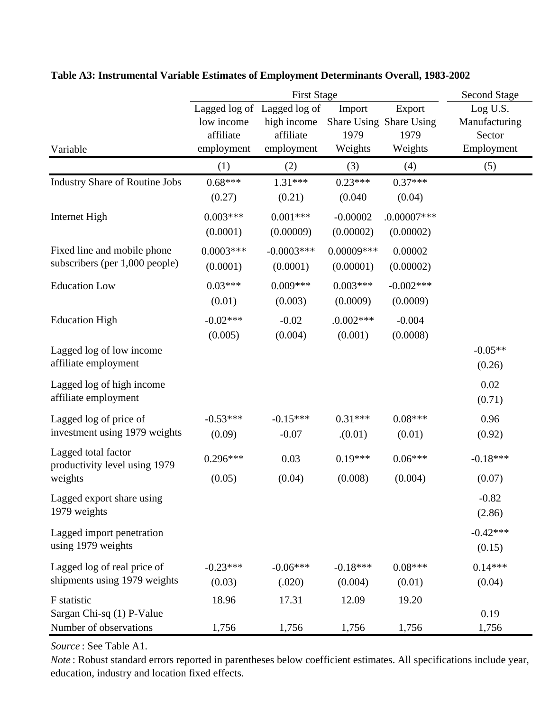|                                                               |                                       | <b>Second Stage</b>                                                   |                            |                                                      |                                                   |
|---------------------------------------------------------------|---------------------------------------|-----------------------------------------------------------------------|----------------------------|------------------------------------------------------|---------------------------------------------------|
| Variable                                                      | low income<br>affiliate<br>employment | Lagged log of Lagged log of<br>high income<br>affiliate<br>employment | Import<br>1979<br>Weights  | Export<br>Share Using Share Using<br>1979<br>Weights | Log U.S.<br>Manufacturing<br>Sector<br>Employment |
|                                                               | (1)                                   | (2)                                                                   | (3)                        | (4)                                                  | (5)                                               |
| <b>Industry Share of Routine Jobs</b>                         | $0.68***$<br>(0.27)                   | $1.31***$<br>(0.21)                                                   | $0.23***$<br>(0.040)       | $0.37***$<br>(0.04)                                  |                                                   |
| Internet High                                                 | $0.003***$<br>(0.0001)                | $0.001***$<br>(0.00009)                                               | $-0.00002$<br>(0.00002)    | $.0.00007$ ***<br>(0.00002)                          |                                                   |
| Fixed line and mobile phone<br>subscribers (per 1,000 people) | $0.0003***$<br>(0.0001)               | $-0.0003***$<br>(0.0001)                                              | $0.00009$ ***<br>(0.00001) | 0.00002<br>(0.00002)                                 |                                                   |
| <b>Education Low</b>                                          | $0.03***$<br>(0.01)                   | $0.009***$<br>(0.003)                                                 | $0.003***$<br>(0.0009)     | $-0.002***$<br>(0.0009)                              |                                                   |
| <b>Education High</b>                                         | $-0.02***$<br>(0.005)                 | $-0.02$<br>(0.004)                                                    | $.0.002***$<br>(0.001)     | $-0.004$<br>(0.0008)                                 |                                                   |
| Lagged log of low income<br>affiliate employment              |                                       |                                                                       |                            |                                                      | $-0.05**$<br>(0.26)                               |
| Lagged log of high income<br>affiliate employment             |                                       |                                                                       |                            |                                                      | 0.02<br>(0.71)                                    |
| Lagged log of price of<br>investment using 1979 weights       | $-0.53***$<br>(0.09)                  | $-0.15***$<br>$-0.07$                                                 | $0.31***$<br>(0.01)        | $0.08***$<br>(0.01)                                  | 0.96<br>(0.92)                                    |
| Lagged total factor<br>productivity level using 1979          | $0.296***$                            | 0.03                                                                  | $0.19***$                  | $0.06***$                                            | $-0.18***$                                        |
| weights<br>Lagged export share using<br>1979 weights          | (0.05)                                | (0.04)                                                                | (0.008)                    | (0.004)                                              | (0.07)<br>$-0.82$<br>(2.86)                       |
| Lagged import penetration<br>using 1979 weights               |                                       |                                                                       |                            |                                                      | $-0.42***$<br>(0.15)                              |
| Lagged log of real price of<br>shipments using 1979 weights   | $-0.23***$<br>(0.03)                  | $-0.06***$<br>(.020)                                                  | $-0.18***$<br>(0.004)      | $0.08***$<br>(0.01)                                  | $0.14***$<br>(0.04)                               |
| F statistic<br>Sargan Chi-sq (1) P-Value                      | 18.96                                 | 17.31                                                                 | 12.09                      | 19.20                                                | 0.19                                              |
| Number of observations                                        | 1,756                                 | 1,756                                                                 | 1,756                      | 1,756                                                | 1,756                                             |

**Table A3: Instrumental Variable Estimates of Employment Determinants Overall, 1983-2002**

*Source* : See Table A1.

*Note* : Robust standard errors reported in parentheses below coefficient estimates. All specifications include year, education, industry and location fixed effects.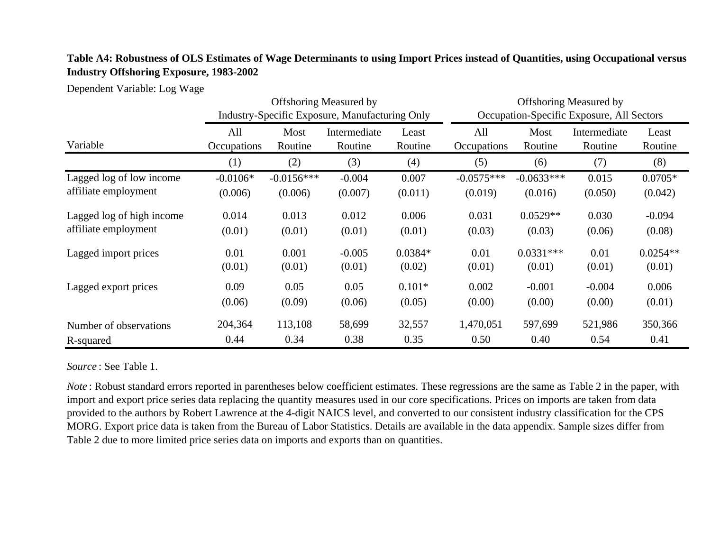# **Table A4: Robustness of OLS Estimates of Wage Determinants to using Import Prices instead of Quantities, using Occupational versus Industry Offshoring Exposure, 1983-2002**

Dependent Variable: Log Wage

| Variable                  | <b>Offshoring Measured by</b><br>Industry-Specific Exposure, Manufacturing Only |                 |                         |                  | <b>Offshoring Measured by</b><br>Occupation-Specific Exposure, All Sectors |                 |                         |                  |
|---------------------------|---------------------------------------------------------------------------------|-----------------|-------------------------|------------------|----------------------------------------------------------------------------|-----------------|-------------------------|------------------|
|                           | All<br>Occupations                                                              | Most<br>Routine | Intermediate<br>Routine | Least<br>Routine | All<br>Occupations                                                         | Most<br>Routine | Intermediate<br>Routine | Least<br>Routine |
|                           | (1)                                                                             | (2)             | (3)                     | (4)              | (5)                                                                        | (6)             | (7)                     | (8)              |
| Lagged log of low income  | $-0.0106*$                                                                      | $-0.0156***$    | $-0.004$                | 0.007            | $-0.0575***$                                                               | $-0.0633***$    | 0.015                   | $0.0705*$        |
| affiliate employment      | (0.006)                                                                         | (0.006)         | (0.007)                 | (0.011)          | (0.019)                                                                    | (0.016)         | (0.050)                 | (0.042)          |
| Lagged log of high income | 0.014                                                                           | 0.013           | 0.012                   | 0.006            | 0.031                                                                      | $0.0529**$      | 0.030                   | $-0.094$         |
| affiliate employment      | (0.01)                                                                          | (0.01)          | (0.01)                  | (0.01)           | (0.03)                                                                     | (0.03)          | (0.06)                  | (0.08)           |
| Lagged import prices      | 0.01                                                                            | 0.001           | $-0.005$                | $0.0384*$        | 0.01                                                                       | $0.0331***$     | 0.01                    | $0.0254**$       |
|                           | (0.01)                                                                          | (0.01)          | (0.01)                  | (0.02)           | (0.01)                                                                     | (0.01)          | (0.01)                  | (0.01)           |
| Lagged export prices      | 0.09                                                                            | 0.05            | 0.05                    | $0.101*$         | 0.002                                                                      | $-0.001$        | $-0.004$                | 0.006            |
|                           | (0.06)                                                                          | (0.09)          | (0.06)                  | (0.05)           | (0.00)                                                                     | (0.00)          | (0.00)                  | (0.01)           |
| Number of observations    | 204,364                                                                         | 113,108         | 58,699                  | 32,557           | 1,470,051                                                                  | 597,699         | 521,986                 | 350,366          |
| R-squared                 | 0.44                                                                            | 0.34            | 0.38                    | 0.35             | 0.50                                                                       | 0.40            | 0.54                    | 0.41             |

*Source* : See Table 1.

*Note* : Robust standard errors reported in parentheses below coefficient estimates. These regressions are the same as Table 2 in the paper, with import and export price series data replacing the quantity measures used in our core specifications. Prices on imports are taken from data provided to the authors by Robert Lawrence at the 4-digit NAICS level, and converted to our consistent industry classification for the CPS MORG. Export price data is taken from the Bureau of Labor Statistics. Details are available in the data appendix. Sample sizes differ from Table 2 due to more limited price series data on imports and exports than on quantities.